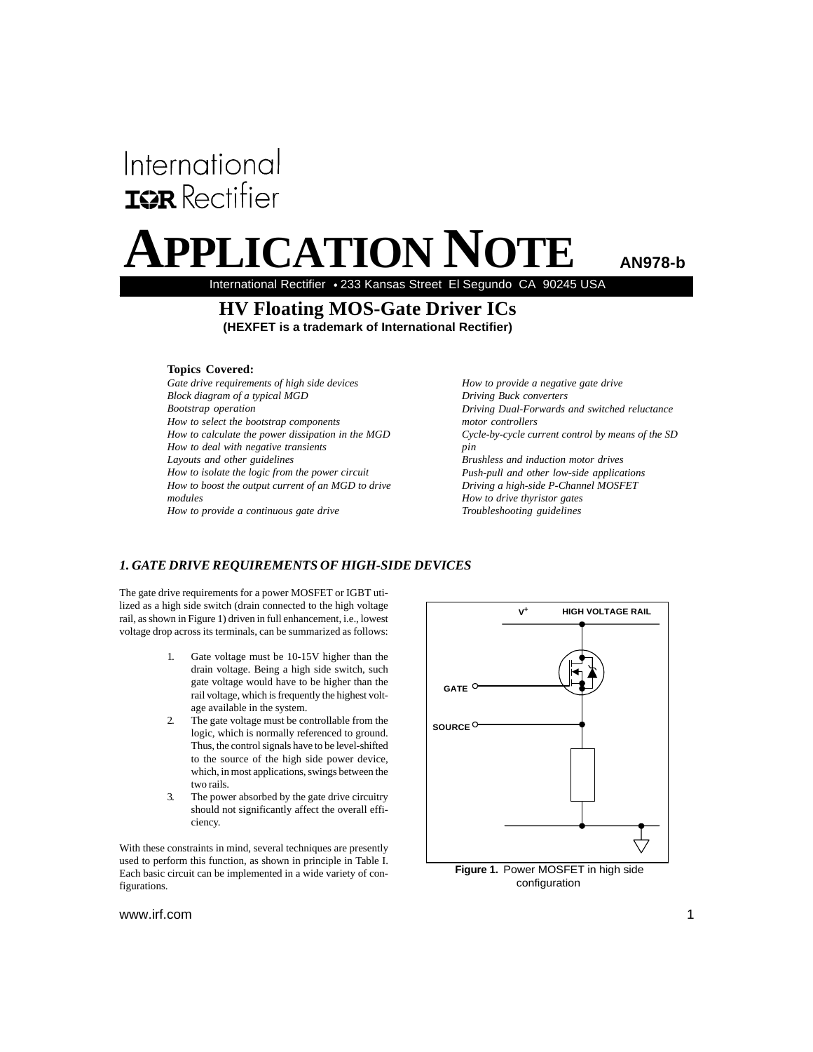# International **IGR** Rectifier

# PLICATION NOTE

**AN978-b**

International Rectifier • 233 Kansas Street El Segundo CA 90245 USA

## **HV Floating MOS-Gate Driver ICs**

**(HEXFET is a trademark of International Rectifier)** 

## **Topics Covered:**

*Gate drive requirements of high side devices Block diagram of a typical MGD Bootstrap operation How to select the bootstrap components How to calculate the power dissipation in the MGD How to deal with negative transients Layouts and other guidelines How to isolate the logic from the power circuit How to boost the output current of an MGD to drive modules How to provide a continuous gate drive*

*How to provide a negative gate drive Driving Buck converters Driving Dual-Forwards and switched reluctance motor controllers Cycle-by-cycle current control by means of the SD pin Brushless and induction motor drives Push-pull and other low-side applications Driving a high-side P-Channel MOSFET How to drive thyristor gates Troubleshooting guidelines*

## *1. GATE DRIVE REQUIREMENTS OF HIGH-SIDE DEVICES*

The gate drive requirements for a power MOSFET or IGBT utilized as a high side switch (drain connected to the high voltage rail, as shown in Figure 1) driven in full enhancement, i.e., lowest voltage drop across its terminals, can be summarized as follows:

- 1. Gate voltage must be 10-15V higher than the drain voltage. Being a high side switch, such gate voltage would have to be higher than the rail voltage, which is frequently the highest voltage available in the system.
- 2. The gate voltage must be controllable from the logic, which is normally referenced to ground. Thus, the control signals have to be level-shifted to the source of the high side power device, which, in most applications, swings between the two rails.
- 3. The power absorbed by the gate drive circuitry should not significantly affect the overall efficiency.

With these constraints in mind, several techniques are presently used to perform this function, as shown in principle in Table I. Each basic circuit can be implemented in a wide variety of configurations.



configuration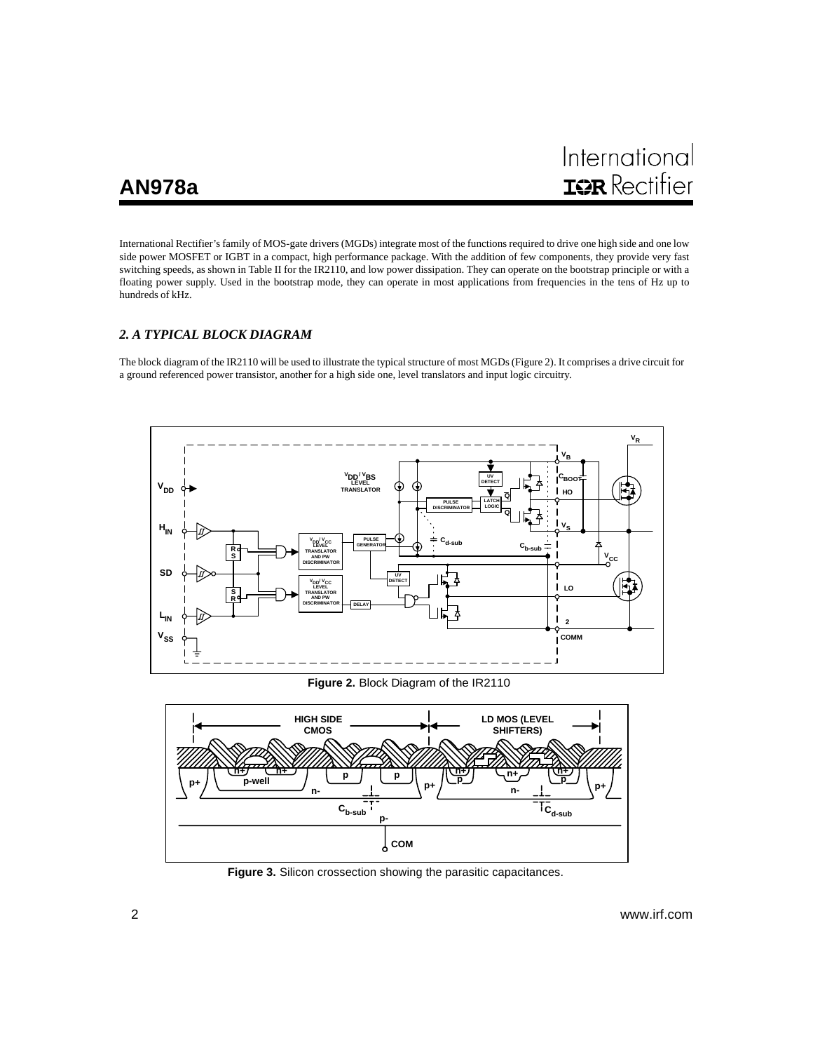International Rectifier's family of MOS-gate drivers (MGDs) integrate most of the functions required to drive one high side and one low side power MOSFET or IGBT in a compact, high performance package. With the addition of few components, they provide very fast switching speeds, as shown in Table II for the IR2110, and low power dissipation. They can operate on the bootstrap principle or with a floating power supply. Used in the bootstrap mode, they can operate in most applications from frequencies in the tens of Hz up to hundreds of kHz.

## *2. A TYPICAL BLOCK DIAGRAM*

The block diagram of the IR2110 will be used to illustrate the typical structure of most MGDs (Figure 2). It comprises a drive circuit for a ground referenced power transistor, another for a high side one, level translators and input logic circuitry.



**Figure 2.** Block Diagram of the IR2110



**Figure 3.** Silicon crossection showing the parasitic capacitances.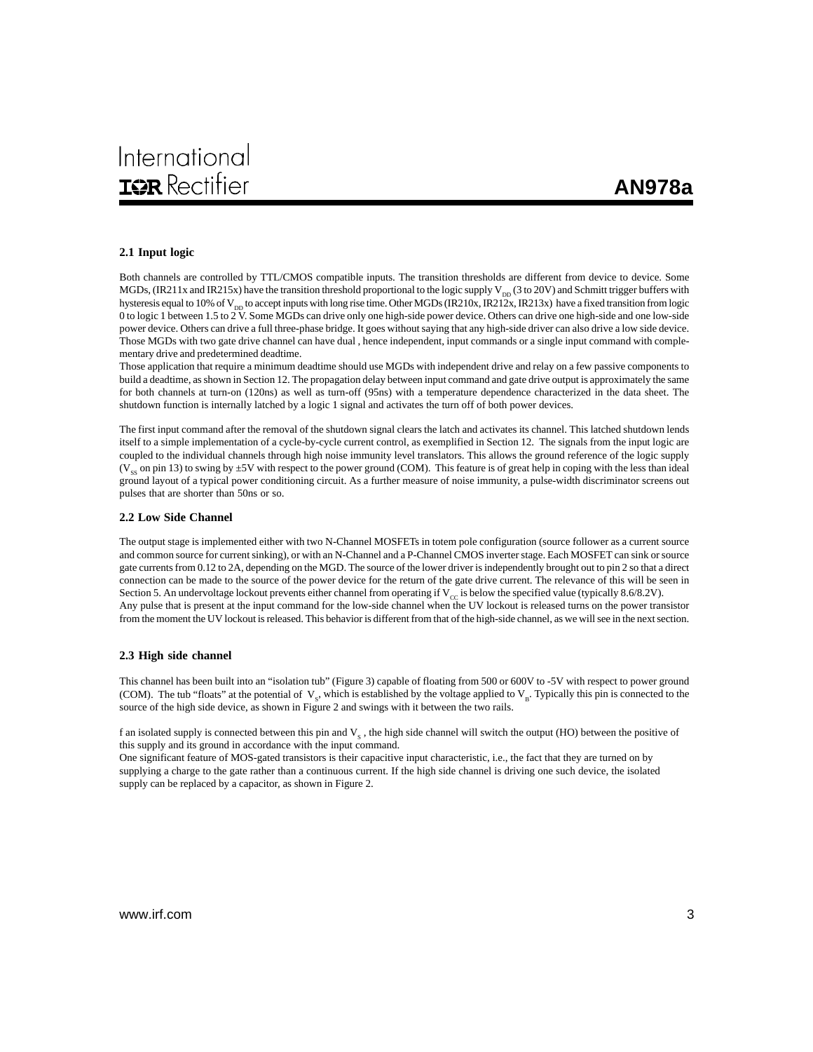#### **2.1 Input logic**

Both channels are controlled by TTL/CMOS compatible inputs. The transition thresholds are different from device to device. Some MGDs, (IR211x and IR215x) have the transition threshold proportional to the logic supply  $V_{\text{DD}}(3$  to 20V) and Schmitt trigger buffers with hysteresis equal to 10% of V<sub>DD</sub> to accept inputs with long rise time. Other MGDs (IR210x, IR212x, IR213x) have a fixed transition from logic 0 to logic 1 between 1.5 to  $2V$ . Some MGDs can drive only one high-side power device. Others can drive one high-side and one low-side power device. Others can drive a full three-phase bridge. It goes without saying that any high-side driver can also drive a low side device. Those MGDs with two gate drive channel can have dual , hence independent, input commands or a single input command with complementary drive and predetermined deadtime.

Those application that require a minimum deadtime should use MGDs with independent drive and relay on a few passive components to build a deadtime, as shown in Section 12. The propagation delay between input command and gate drive output is approximately the same for both channels at turn-on (120ns) as well as turn-off (95ns) with a temperature dependence characterized in the data sheet. The shutdown function is internally latched by a logic 1 signal and activates the turn off of both power devices.

The first input command after the removal of the shutdown signal clears the latch and activates its channel. This latched shutdown lends itself to a simple implementation of a cycle-by-cycle current control, as exemplified in Section 12. The signals from the input logic are coupled to the individual channels through high noise immunity level translators. This allows the ground reference of the logic supply (V<sub>ss</sub> on pin 13) to swing by ±5V with respect to the power ground (COM). This feature is of great help in coping with the less than ideal ground layout of a typical power conditioning circuit. As a further measure of noise immunity, a pulse-width discriminator screens out pulses that are shorter than 50ns or so.

#### **2.2 Low Side Channel**

The output stage is implemented either with two N-Channel MOSFETs in totem pole configuration (source follower as a current source and common source for current sinking), or with an N-Channel and a P-Channel CMOS inverter stage. Each MOSFET can sink or source gate currents from 0.12 to 2A, depending on the MGD. The source of the lower driver is independently brought out to pin 2 so that a direct connection can be made to the source of the power device for the return of the gate drive current. The relevance of this will be seen in Section 5. An undervoltage lockout prevents either channel from operating if  $V_{\text{cc}}$  is below the specified value (typically 8.6/8.2V). Any pulse that is present at the input command for the low-side channel when the UV lockout is released turns on the power transistor from the moment the UV lockout is released. This behavior is different from that of the high-side channel, as we will see in the next section.

#### **2.3 High side channel**

This channel has been built into an "isolation tub" (Figure 3) capable of floating from 500 or 600V to -5V with respect to power ground (COM). The tub "floats" at the potential of  $V_s$ , which is established by the voltage applied to  $V_s$ . Typically this pin is connected to the source of the high side device, as shown in Figure 2 and swings with it between the two rails.

f an isolated supply is connected between this pin and  $V<sub>e</sub>$ , the high side channel will switch the output (HO) between the positive of this supply and its ground in accordance with the input command.

One significant feature of MOS-gated transistors is their capacitive input characteristic, i.e., the fact that they are turned on by supplying a charge to the gate rather than a continuous current. If the high side channel is driving one such device, the isolated supply can be replaced by a capacitor, as shown in Figure 2.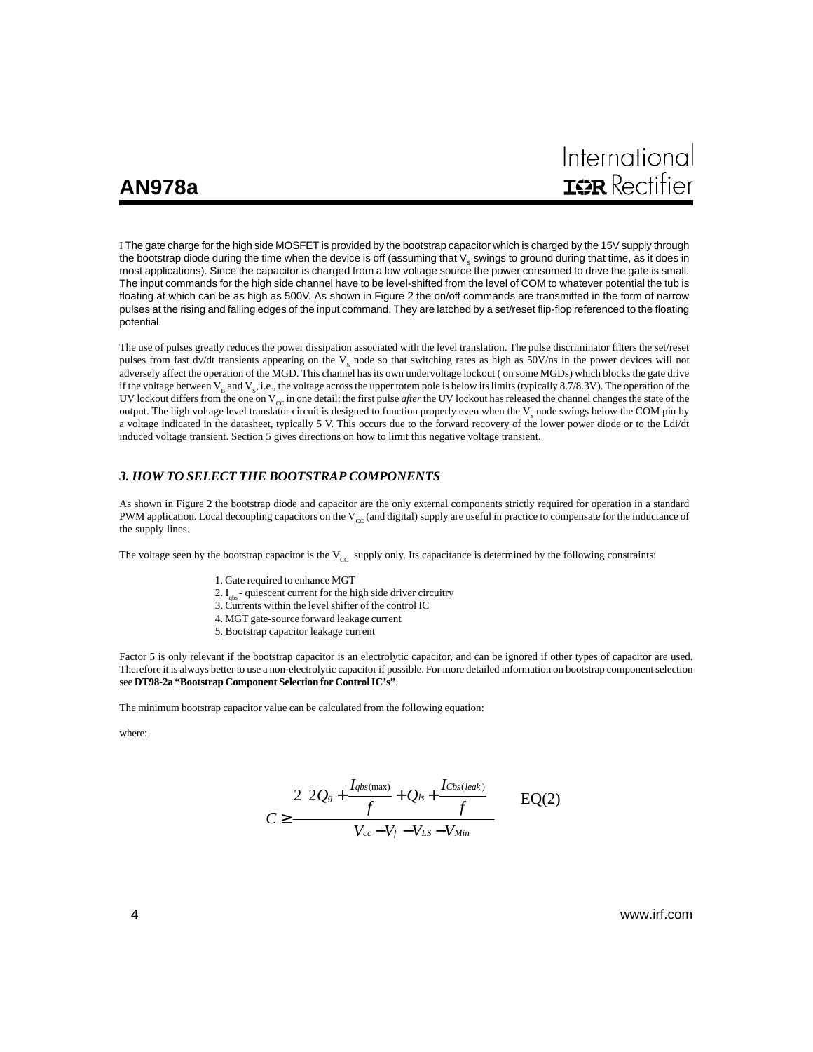I The gate charge for the high side MOSFET is provided by the bootstrap capacitor which is charged by the 15V supply through the bootstrap diode during the time when the device is off (assuming that  $V_s$  swings to ground during that time, as it does in most applications). Since the capacitor is charged from a low voltage source the power consumed to drive the gate is small. The input commands for the high side channel have to be level-shifted from the level of COM to whatever potential the tub is floating at which can be as high as 500V. As shown in Figure 2 the on/off commands are transmitted in the form of narrow pulses at the rising and falling edges of the input command. They are latched by a set/reset flip-flop referenced to the floating potential.

The use of pulses greatly reduces the power dissipation associated with the level translation. The pulse discriminator filters the set/reset pulses from fast dv/dt transients appearing on the  $V_s$  node so that switching rates as high as 50V/ns in the power devices will not adversely affect the operation of the MGD. This channel has its own undervoltage lockout ( on some MGDs) which blocks the gate drive if the voltage between  $V_B$  and  $V_S$ , i.e., the voltage across the upper totem pole is below its limits (typically 8.7/8.3V). The operation of the UV lockout differs from the one on  $V_{cc}$  in one detail: the first pulse *after* the UV lockout has released the channel changes the state of the output. The high voltage level translator circuit is designed to function properly even when the  $V_s$  node swings below the COM pin by a voltage indicated in the datasheet, typically 5 V. This occurs due to the forward recovery of the lower power diode or to the Ldi/dt induced voltage transient. Section 5 gives directions on how to limit this negative voltage transient.

#### *3. HOW TO SELECT THE BOOTSTRAP COMPONENTS*

As shown in Figure 2 the bootstrap diode and capacitor are the only external components strictly required for operation in a standard PWM application. Local decoupling capacitors on the  $V_{cc}$  (and digital) supply are useful in practice to compensate for the inductance of the supply lines.

The voltage seen by the bootstrap capacitor is the  $V_{\text{CC}}$  supply only. Its capacitance is determined by the following constraints:

- 1. Gate required to enhance MGT
- 2.  $I_{obs}$  quiescent current for the high side driver circuitry
- 3. Currents within the level shifter of the control IC
- 4. MGT gate-source forward leakage current
- 5. Bootstrap capacitor leakage current

Factor 5 is only relevant if the bootstrap capacitor is an electrolytic capacitor, and can be ignored if other types of capacitor are used. Therefore it is always better to use a non-electrolytic capacitor if possible. For more detailed information on bootstrap component selection see **DT98-2a "Bootstrap Component Selection for Control IC's"**.

The minimum bootstrap capacitor value can be calculated from the following equation:

where:

$$
C \ge \frac{2\left[2Q_s + \frac{I_{qbs(\text{max})}}{f} + Q_{ls} + \frac{I_{Cbs(leak)}}{f}\right]}{V_{cc} - V_f - V_{LS} - V_{Min}} \qquad \qquad \text{EQ(2)}
$$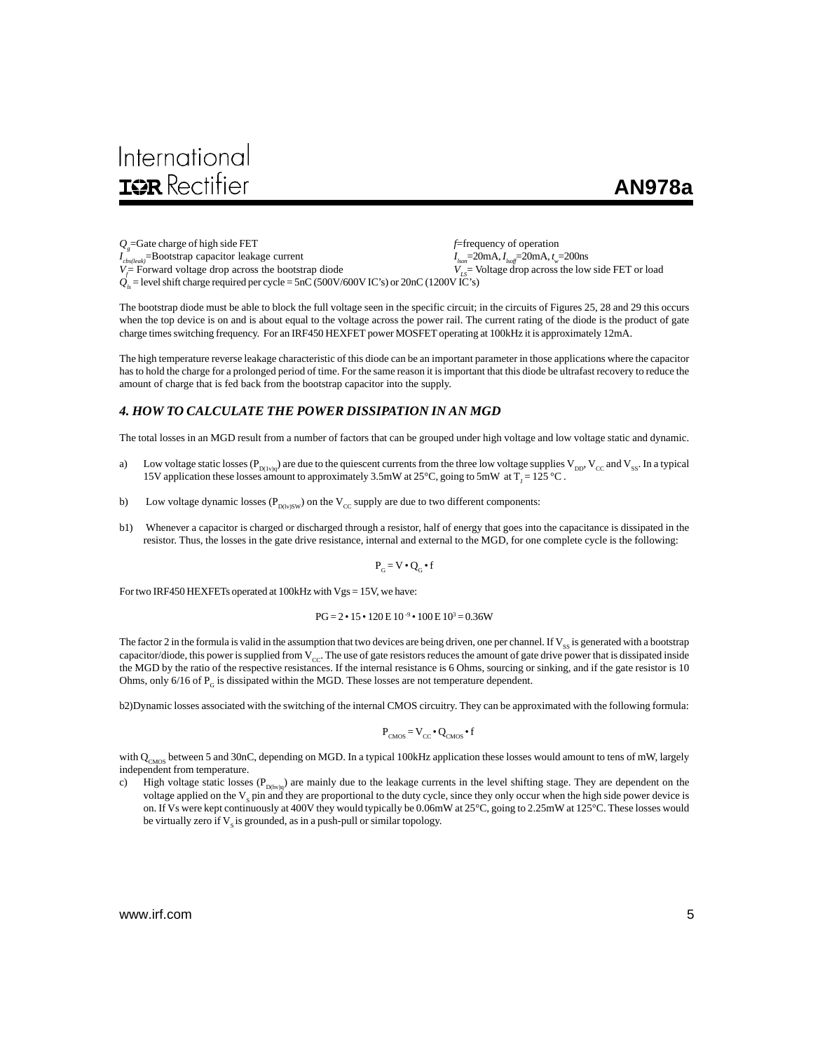# International **IOR** Rectifier

## **AN978a**

*Qg* =Gate charge of high side FET *f*=frequency of operation *I cbs(leak)*=Bootstrap capacitor leakage current *I lson*=20mA, *Ilsoff*=20mA, *t <sup>w</sup>*=200ns  $V =$ Forward voltage drop across the bootstrap diode = Forward voltage drop across the bootstrap diode *V<sub>LS</sub>*= Voltage drop across the low side FET or load  $\dot{Q}_s$  = level shift charge required per cycle = 5nC (500V/600V IC's) or 20nC (1200V IC's)

The bootstrap diode must be able to block the full voltage seen in the specific circuit; in the circuits of Figures 25, 28 and 29 this occurs when the top device is on and is about equal to the voltage across the power rail. The current rating of the diode is the product of gate charge times switching frequency. For an IRF450 HEXFET power MOSFET operating at 100kHz it is approximately 12mA.

The high temperature reverse leakage characteristic of this diode can be an important parameter in those applications where the capacitor has to hold the charge for a prolonged period of time. For the same reason it is important that this diode be ultrafast recovery to reduce the amount of charge that is fed back from the bootstrap capacitor into the supply.

### *4. HOW TO CALCULATE THE POWER DISSIPATION IN AN MGD*

The total losses in an MGD result from a number of factors that can be grouped under high voltage and low voltage static and dynamic.

- a) Low voltage static losses ( $P_{D(1v)q}$ ) are due to the quiescent currents from the three low voltage supplies  $V_{DD}$ ,  $V_{CC}$  and  $V_{SS}$ . In a typical 15V application these losses amount to approximately 3.5mW at  $25^{\circ}$ C, going to 5mW at T<sub>J</sub> = 125 °C.
- b) Low voltage dynamic losses ( $P_{D(w)SW}$ ) on the  $V_{CC}$  supply are due to two different components:
- b1) Whenever a capacitor is charged or discharged through a resistor, half of energy that goes into the capacitance is dissipated in the resistor. Thus, the losses in the gate drive resistance, internal and external to the MGD, for one complete cycle is the following:

$$
\mathbf{P}_{\mathbf{G}} = \mathbf{V} \bullet \mathbf{Q}_{\mathbf{G}} \bullet \mathbf{f}
$$

For two IRF450 HEXFETs operated at 100kHz with Vgs = 15V, we have:

$$
PG = 2 \cdot 15 \cdot 120 \, \text{E} \, 10^{-9} \cdot 100 \, \text{E} \, 10^3 = 0.36 \, \text{W}
$$

The factor 2 in the formula is valid in the assumption that two devices are being driven, one per channel. If  $V_{ss}$  is generated with a bootstrap capacitor/diode, this power is supplied from  $V_{\text{CC}}$ . The use of gate resistors reduces the amount of gate drive power that is dissipated inside the MGD by the ratio of the respective resistances. If the internal resistance is 6 Ohms, sourcing or sinking, and if the gate resistor is 10 Ohms, only 6/16 of  $P_G$  is dissipated within the MGD. These losses are not temperature dependent.

b2)Dynamic losses associated with the switching of the internal CMOS circuitry. They can be approximated with the following formula:

$$
P_{CMOS} = V_{CC} \cdot Q_{CMOS} \cdot f
$$

with  $Q_{CMOS}$  between 5 and 30nC, depending on MGD. In a typical 100kHz application these losses would amount to tens of mW, largely independent from temperature.

c) High voltage static losses ( $P_{D(hv)q}$ ) are mainly due to the leakage currents in the level shifting stage. They are dependent on the voltage applied on the  $V_s$  pin and they are proportional to the duty cycle, since they only occur when the high side power device is on. If Vs were kept continuously at 400V they would typically be 0.06mW at 25°C, going to 2.25mW at 125°C. These losses would be virtually zero if  $V_s$  is grounded, as in a push-pull or similar topology.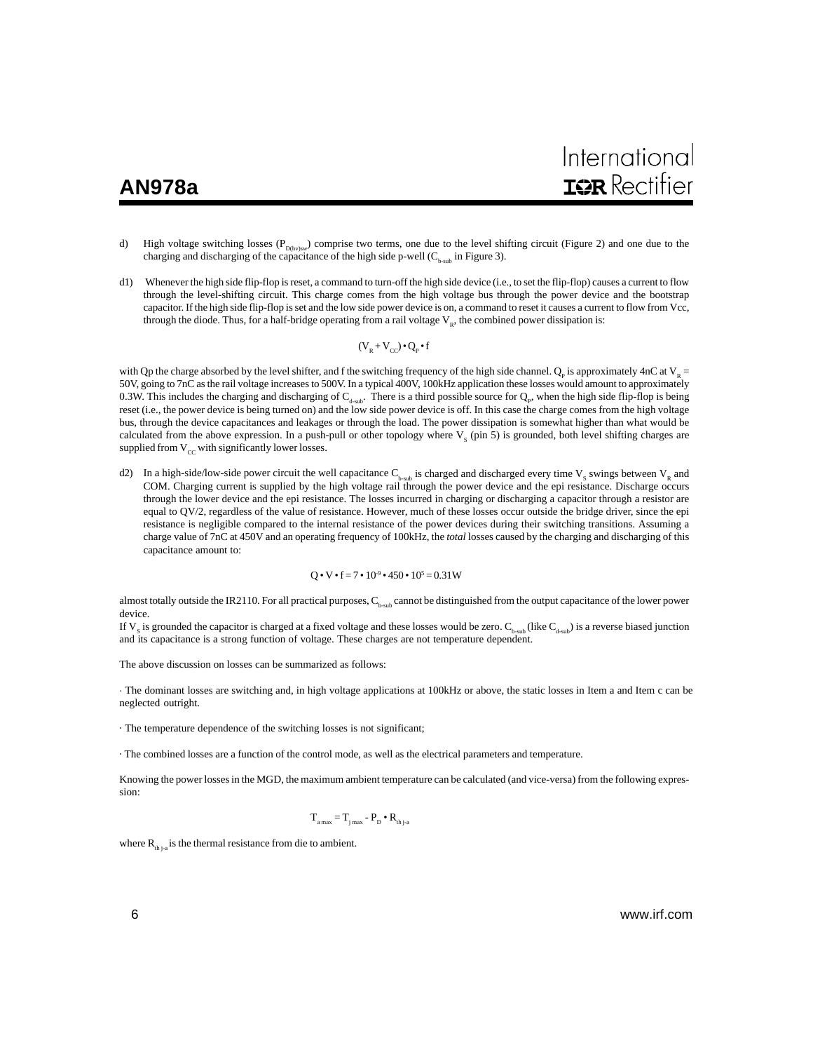- d) High voltage switching losses ( $P_{D(hv)sw}$ ) comprise two terms, one due to the level shifting circuit (Figure 2) and one due to the charging and discharging of the capacitance of the high side p-well  $(C_{b-sub}$  in Figure 3).
- d1) Whenever the high side flip-flop is reset, a command to turn-off the high side device (i.e., to set the flip-flop) causes a current to flow through the level-shifting circuit. This charge comes from the high voltage bus through the power device and the bootstrap capacitor. If the high side flip-flop is set and the low side power device is on, a command to reset it causes a current to flow from Vcc, through the diode. Thus, for a half-bridge operating from a rail voltage  $V_{R}$ , the combined power dissipation is:

$$
(V_{_R}\!+\!V_{_{CC}})\!\bullet\!Q_{_P}\!\bullet\!f
$$

with Qp the charge absorbed by the level shifter, and f the switching frequency of the high side channel.  $Q_p$  is approximately 4nC at  $V_R$  = 50V, going to 7nC as the rail voltage increases to 500V. In a typical 400V, 100kHz application these losses would amount to approximately 0.3W. This includes the charging and discharging of  $C_{d-sub}$ . There is a third possible source for  $Q_p$ , when the high side flip-flop is being reset (i.e., the power device is being turned on) and the low side power device is off. In this case the charge comes from the high voltage bus, through the device capacitances and leakages or through the load. The power dissipation is somewhat higher than what would be calculated from the above expression. In a push-pull or other topology where  $V_s$  (pin 5) is grounded, both level shifting charges are supplied from  $V_{cc}$  with significantly lower losses.

d2) In a high-side/low-side power circuit the well capacitance  $C_{b-sub}$  is charged and discharged every time  $V_s$  swings between  $V_R$  and COM. Charging current is supplied by the high voltage rail through the power device and the epi resistance. Discharge occurs through the lower device and the epi resistance. The losses incurred in charging or discharging a capacitor through a resistor are equal to QV/2, regardless of the value of resistance. However, much of these losses occur outside the bridge driver, since the epi resistance is negligible compared to the internal resistance of the power devices during their switching transitions. Assuming a charge value of 7nC at 450V and an operating frequency of 100kHz, the *total* losses caused by the charging and discharging of this capacitance amount to:

$$
Q \cdot V \cdot f = 7 \cdot 10^{-9} \cdot 450 \cdot 10^5 = 0.31 W
$$

almost totally outside the IR2110. For all practical purposes,  $C_{b \text{sub}}$  cannot be distinguished from the output capacitance of the lower power device.

If  $V_s$  is grounded the capacitor is charged at a fixed voltage and these losses would be zero.  $C_{b\text{-sub}}$  (like  $C_{d\text{-sub}}$ ) is a reverse biased junction and its capacitance is a strong function of voltage. These charges are not temperature dependent.

The above discussion on losses can be summarized as follows:

· The dominant losses are switching and, in high voltage applications at 100kHz or above, the static losses in Item a and Item c can be neglected outright.

· The temperature dependence of the switching losses is not significant;

· The combined losses are a function of the control mode, as well as the electrical parameters and temperature.

Knowing the power losses in the MGD, the maximum ambient temperature can be calculated (and vice-versa) from the following expression:

$$
\mathbf{T}_{_{a\max}} = \mathbf{T}_{_{j\max}} - \mathbf{P}_{_{D}} \bullet \mathbf{R}_{_{thj\text{-}a}}
$$

where  $R_{th,i}$  is the thermal resistance from die to ambient.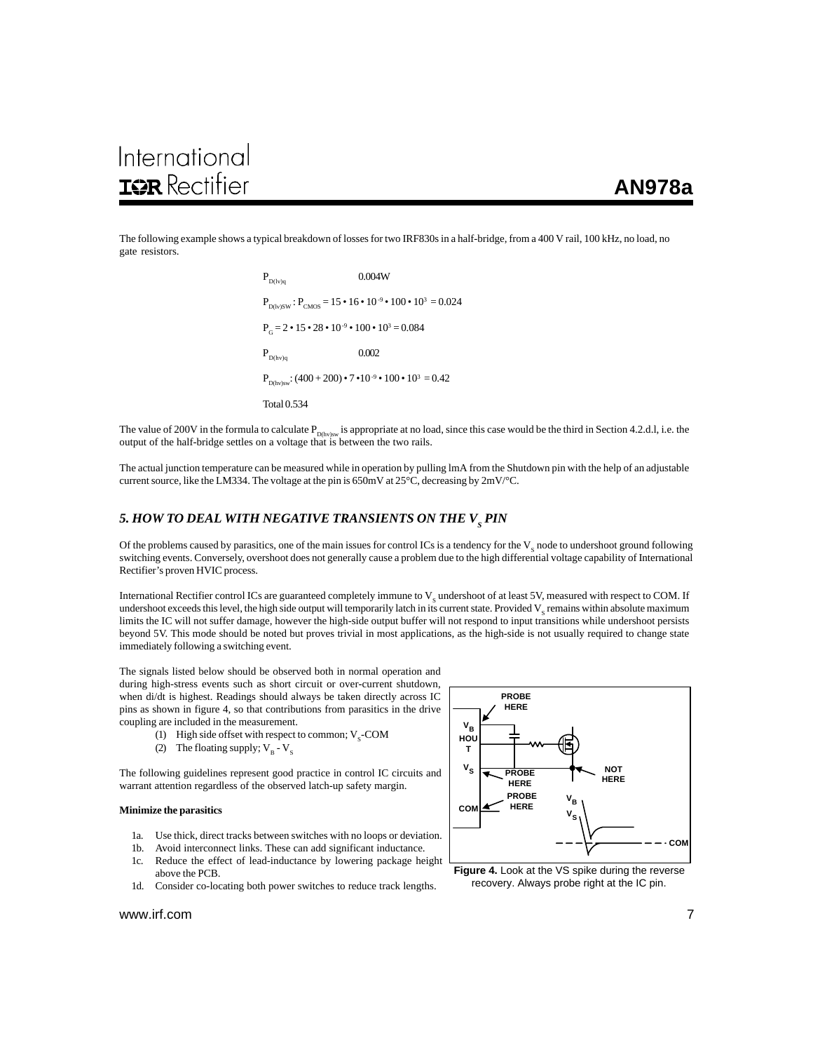The following example shows a typical breakdown of losses for two IRF830s in a half-bridge, from a 400 V rail, 100 kHz, no load, no gate resistors.

> $P_{D(1v)q}$  0.004W  $P_{D(1v)SW}$ :  $P_{CMS} = 15 \cdot 16 \cdot 10^{-9} \cdot 100 \cdot 10^3 = 0.024$  $P<sub>g</sub> = 2 \cdot 15 \cdot 28 \cdot 10^{-9} \cdot 100 \cdot 10^{3} = 0.084$  $P_{D(hv)q}$  0.002  $P_{D(hv)sw}$ : (400 + 200) • 7 •10<sup>-9</sup> • 100 • 10<sup>3</sup> = 0.42 Total 0.534

The value of 200V in the formula to calculate  $P_{D(hv)sw}$  is appropriate at no load, since this case would be the third in Section 4.2.d.l, i.e. the output of the half-bridge settles on a voltage that is between the two rails.

The actual junction temperature can be measured while in operation by pulling lmA from the Shutdown pin with the help of an adjustable current source, like the LM334. The voltage at the pin is 650mV at 25°C, decreasing by 2mV/°C.

## 5. HOW TO DEAL WITH NEGATIVE TRANSIENTS ON THE V<sub>s</sub> PIN

Of the problems caused by parasitics, one of the main issues for control ICs is a tendency for the  $V_s$  node to undershoot ground following switching events. Conversely, overshoot does not generally cause a problem due to the high differential voltage capability of International Rectifier's proven HVIC process.

International Rectifier control ICs are guaranteed completely immune to  $\rm{V}_{\rm{s}}$  undershoot of at least 5V, measured with respect to COM. If undershoot exceeds this level, the high side output will temporarily latch in its current state. Provided  $\rm V_{\rm s}$  remains within absolute maximum limits the IC will not suffer damage, however the high-side output buffer will not respond to input transitions while undershoot persists beyond 5V. This mode should be noted but proves trivial in most applications, as the high-side is not usually required to change state immediately following a switching event.

The signals listed below should be observed both in normal operation and during high-stress events such as short circuit or over-current shutdown, when di/dt is highest. Readings should always be taken directly across IC pins as shown in figure 4, so that contributions from parasitics in the drive coupling are included in the measurement.

- (1) High side offset with respect to common;  $V_s$ -COM
- (2) The floating supply;  $V_B V_S$

The following guidelines represent good practice in control IC circuits and warrant attention regardless of the observed latch-up safety margin.

#### **Minimize the parasitics**

- 1a. Use thick, direct tracks between switches with no loops or deviation.
- 1b. Avoid interconnect links. These can add significant inductance.
- 1c. Reduce the effect of lead-inductance by lowering package height above the PCB.
- 1d. Consider co-locating both power switches to reduce track lengths.



**Figure 4.** Look at the VS spike during the reverse recovery. Always probe right at the IC pin.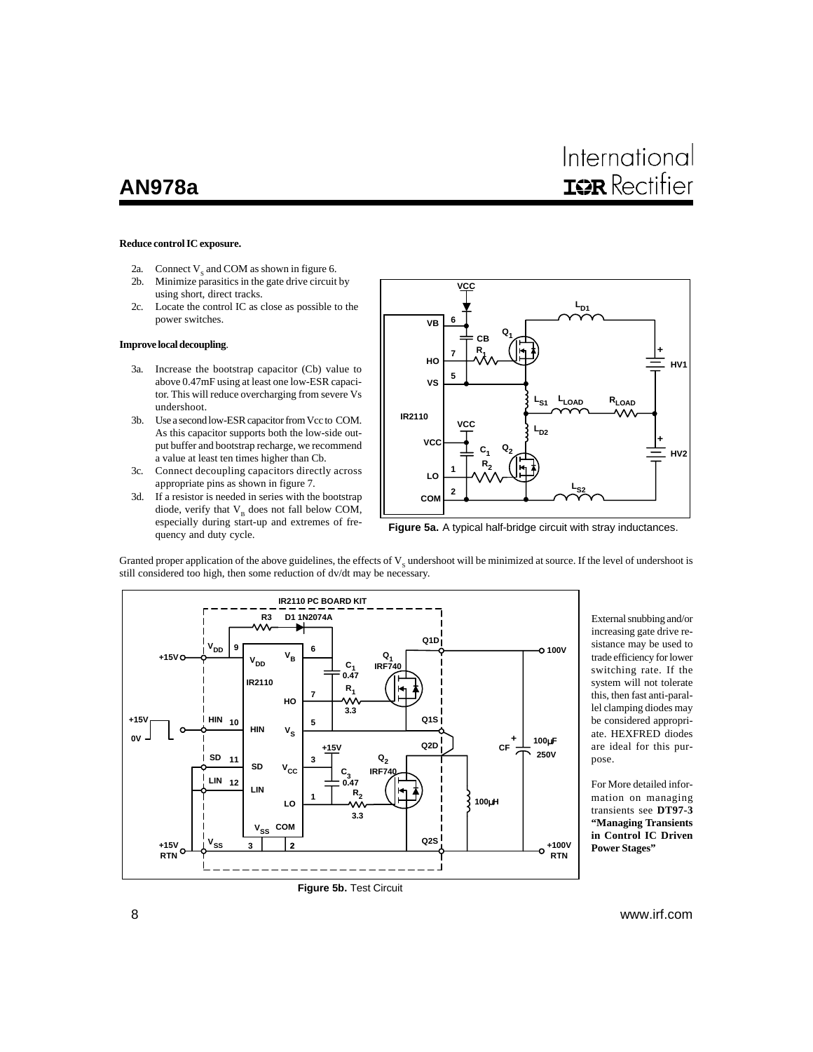# International **IQR** Rectifier

#### **Reduce control IC exposure.**

- 2a. Connect  $V_s$  and COM as shown in figure 6.<br>2b. Minimize parasitics in the gate drive circuit
- Minimize parasitics in the gate drive circuit by using short, direct tracks.
- 2c. Locate the control IC as close as possible to the power switches.

#### **Improve local decoupling**.

- 3a. Increase the bootstrap capacitor (Cb) value to above 0.47mF using at least one low-ESR capacitor. This will reduce overcharging from severe Vs undershoot.
- 3b. Use a second low-ESR capacitor from Vcc to COM. As this capacitor supports both the low-side output buffer and bootstrap recharge, we recommend a value at least ten times higher than Cb.
- 3c. Connect decoupling capacitors directly across appropriate pins as shown in figure 7.
- 3d. If a resistor is needed in series with the bootstrap diode, verify that  $V_B$  does not fall below COM, especially during start-up and extremes of frequency and duty cycle.



**Figure 5a.** A typical half-bridge circuit with stray inductances.

Granted proper application of the above guidelines, the effects of  $V_s$  undershoot will be minimized at source. If the level of undershoot is still considered too high, then some reduction of dv/dt may be necessary.



External snubbing and/or increasing gate drive resistance may be used to trade efficiency for lower switching rate. If the system will not tolerate this, then fast anti-parallel clamping diodes may be considered appropriate. HEXFRED diodes are ideal for this purpose.

For More detailed information on managing transients see **DT97-3 "Managing Transients in Control IC Driven Power Stages"**

**Figure 5b.** Test Circuit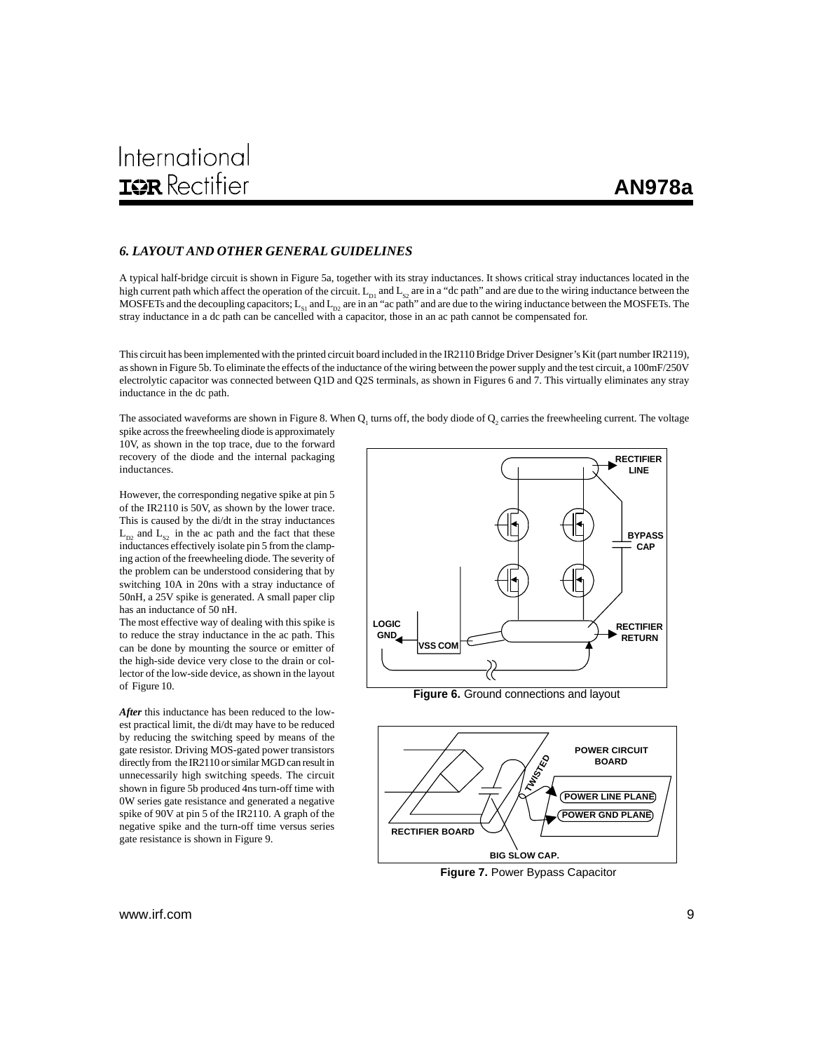## *6. LAYOUT AND OTHER GENERAL GUIDELINES*

A typical half-bridge circuit is shown in Figure 5a, together with its stray inductances. It shows critical stray inductances located in the high current path which affect the operation of the circuit.  $L_{D1}$  and  $L_{S2}$  are in a "dc path" and are due to the wiring inductance between the MOSFETs and the decoupling capacitors;  $L_{\rm SI}$  and  $L_{\rm D2}$  are in an "ac path" and are due to the wiring inductance between the MOSFETs. The stray inductance in a dc path can be cancelled with a capacitor, those in an ac path cannot be compensated for.

This circuit has been implemented with the printed circuit board included in the IR2110 Bridge Driver Designer's Kit (part number IR2119), as shown in Figure 5b. To eliminate the effects of the inductance of the wiring between the power supply and the test circuit, a 100mF/250V electrolytic capacitor was connected between Q1D and Q2S terminals, as shown in Figures 6 and 7. This virtually eliminates any stray inductance in the dc path.

The associated waveforms are shown in Figure 8. When  $Q_1$  turns off, the body diode of  $Q_2$  carries the freewheeling current. The voltage spike across the freewheeling diode is approximately

10V, as shown in the top trace, due to the forward recovery of the diode and the internal packaging inductances.

However, the corresponding negative spike at pin 5 of the IR2110 is 50V, as shown by the lower trace. This is caused by the di/dt in the stray inductances  $L_{D2}$  and  $L_{S2}$  in the ac path and the fact that these inductances effectively isolate pin 5 from the clamping action of the freewheeling diode. The severity of the problem can be understood considering that by switching 10A in 20ns with a stray inductance of 50nH, a 25V spike is generated. A small paper clip has an inductance of 50 nH.

The most effective way of dealing with this spike is to reduce the stray inductance in the ac path. This can be done by mounting the source or emitter of the high-side device very close to the drain or collector of the low-side device, as shown in the layout of Figure 10.

*After* this inductance has been reduced to the lowest practical limit, the di/dt may have to be reduced by reducing the switching speed by means of the gate resistor. Driving MOS-gated power transistors directly from the IR2110 or similar MGD can result in unnecessarily high switching speeds. The circuit shown in figure 5b produced 4ns turn-off time with 0W series gate resistance and generated a negative spike of 90V at pin 5 of the IR2110. A graph of the negative spike and the turn-off time versus series gate resistance is shown in Figure 9.



**Figure 6.** Ground connections and layout

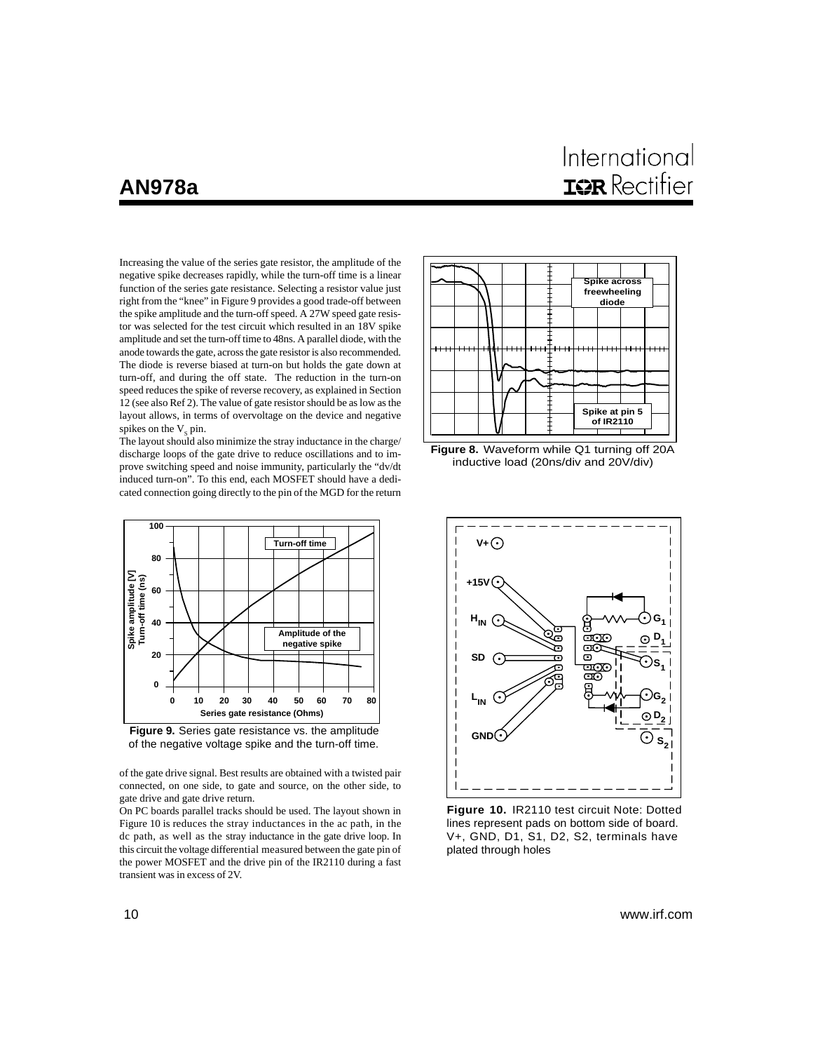International **IGR** Rectifier

Increasing the value of the series gate resistor, the amplitude of the negative spike decreases rapidly, while the turn-off time is a linear function of the series gate resistance. Selecting a resistor value just right from the "knee" in Figure 9 provides a good trade-off between the spike amplitude and the turn-off speed. A 27W speed gate resistor was selected for the test circuit which resulted in an 18V spike amplitude and set the turn-off time to 48ns. A parallel diode, with the anode towards the gate, across the gate resistor is also recommended. The diode is reverse biased at turn-on but holds the gate down at turn-off, and during the off state. The reduction in the turn-on speed reduces the spike of reverse recovery, as explained in Section 12 (see also Ref 2). The value of gate resistor should be as low as the layout allows, in terms of overvoltage on the device and negative spikes on the  $V$ <sub>c</sub> pin.

The layout should also minimize the stray inductance in the charge/ discharge loops of the gate drive to reduce oscillations and to improve switching speed and noise immunity, particularly the "dv/dt induced turn-on". To this end, each MOSFET should have a dedicated connection going directly to the pin of the MGD for the return



**Figure 9.** Series gate resistance vs. the amplitude of the negative voltage spike and the turn-off time.

of the gate drive signal. Best results are obtained with a twisted pair connected, on one side, to gate and source, on the other side, to gate drive and gate drive return.

On PC boards parallel tracks should be used. The layout shown in Figure 10 is reduces the stray inductances in the ac path, in the dc path, as well as the stray inductance in the gate drive loop. In this circuit the voltage differential measured between the gate pin of the power MOSFET and the drive pin of the IR2110 during a fast transient was in excess of 2V.







**Figure 10.** IR2110 test circuit Note: Dotted lines represent pads on bottom side of board. V+, GND, D1, S1, D2, S2, terminals have plated through holes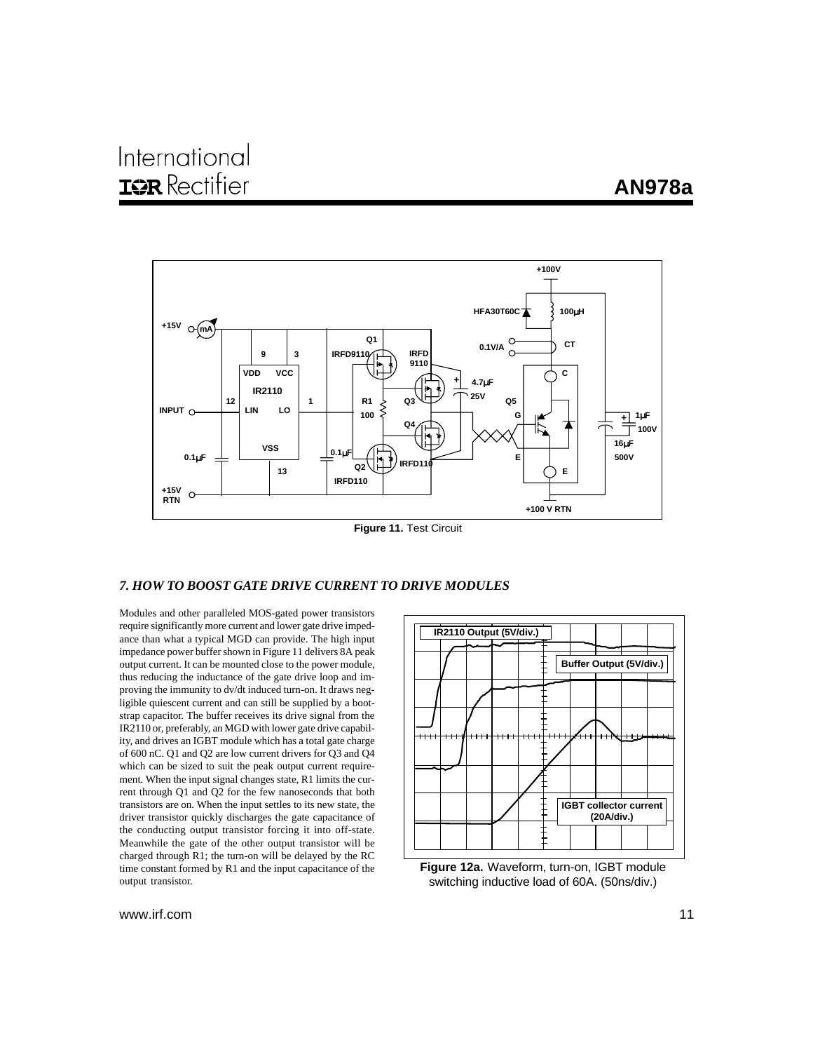

#### **Figure 11.** Test Circuit

## *7. HOW TO BOOST GATE DRIVE CURRENT TO DRIVE MODULES*

Modules and other paralleled MOS-gated power transistors require significantly more current and lower gate drive impedance than what a typical MGD can provide. The high input impedance power buffer shown in Figure 11 delivers 8A peak output current. It can be mounted close to the power module, thus reducing the inductance of the gate drive loop and improving the immunity to dv/dt induced turn-on. It draws negligible quiescent current and can still be supplied by a bootstrap capacitor. The buffer receives its drive signal from the IR2110 or, preferably, an MGD with lower gate drive capability, and drives an IGBT module which has a total gate charge of 600 nC. Q1 and Q2 are low current drivers for Q3 and Q4 which can be sized to suit the peak output current requirement. When the input signal changes state, R1 limits the current through Q1 and Q2 for the few nanoseconds that both transistors are on. When the input settles to its new state, the driver transistor quickly discharges the gate capacitance of the conducting output transistor forcing it into off-state. Meanwhile the gate of the other output transistor will be charged through R1; the turn-on will be delayed by the RC time constant formed by R1 and the input capacitance of the output transistor.



**Figure 12a.** Waveform, turn-on, IGBT module switching inductive load of 60A. (50ns/div.)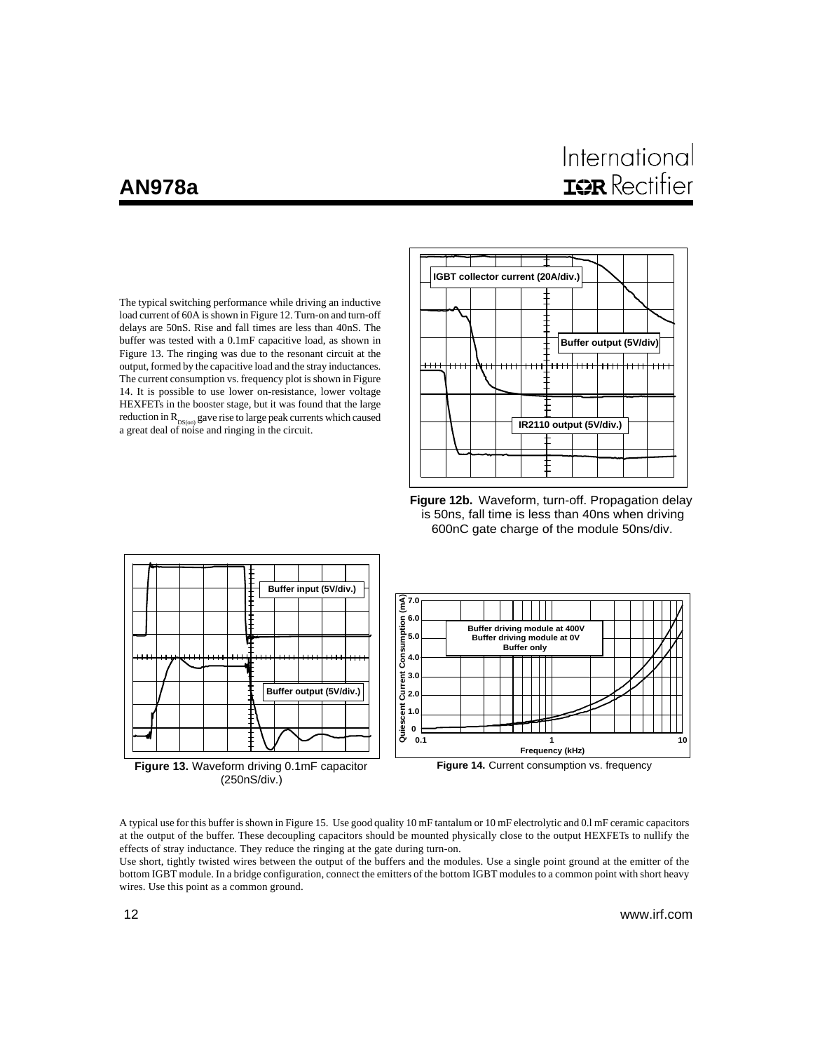# International **IOR** Rectifier

The typical switching performance while driving an inductive load current of 60A is shown in Figure 12. Turn-on and turn-off delays are 50nS. Rise and fall times are less than 40nS. The buffer was tested with a 0.1mF capacitive load, as shown in Figure 13. The ringing was due to the resonant circuit at the output, formed by the capacitive load and the stray inductances. The current consumption vs. frequency plot is shown in Figure 14. It is possible to use lower on-resistance, lower voltage HEXFETs in the booster stage, but it was found that the large reduction in  $R_{DS(on)}$  gave rise to large peak currents which caused a great deal of noise and ringing in the circuit.



**Figure 12b.** Waveform, turn-off. Propagation delay is 50ns, fall time is less than 40ns when driving 600nC gate charge of the module 50ns/div.



A typical use for this buffer is shown in Figure 15. Use good quality 10 mF tantalum or 10 mF electrolytic and 0.l mF ceramic capacitors at the output of the buffer. These decoupling capacitors should be mounted physically close to the output HEXFETs to nullify the effects of stray inductance. They reduce the ringing at the gate during turn-on.

Use short, tightly twisted wires between the output of the buffers and the modules. Use a single point ground at the emitter of the bottom IGBT module. In a bridge configuration, connect the emitters of the bottom IGBT modules to a common point with short heavy wires. Use this point as a common ground.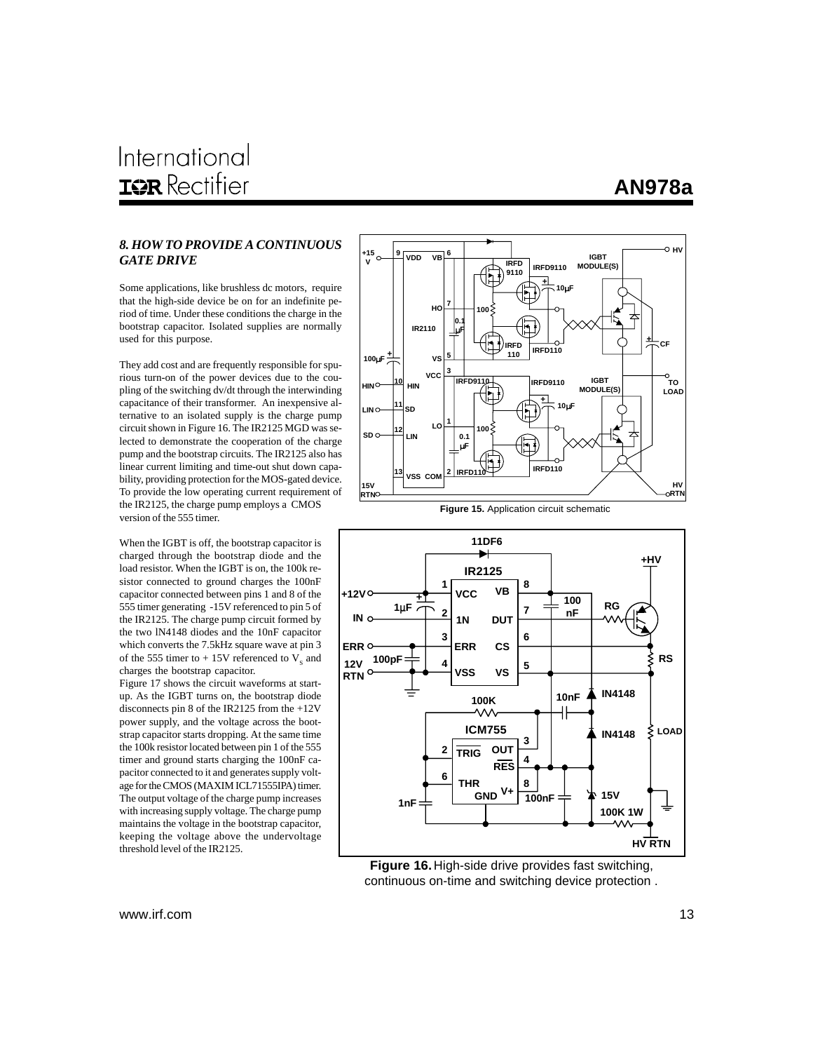# *GATE DRIVE*

Some applications, like brushless dc motors, require that the high-side device be on for an indefinite period of time. Under these conditions the charge in the bootstrap capacitor. Isolated supplies are normally used for this purpose.

They add cost and are frequently responsible for spurious turn-on of the power devices due to the coupling of the switching dv/dt through the interwinding capacitance of their transformer. An inexpensive alternative to an isolated supply is the charge pump circuit shown in Figure 16. The IR2125 MGD was selected to demonstrate the cooperation of the charge pump and the bootstrap circuits. The IR2125 also has linear current limiting and time-out shut down capability, providing protection for the MOS-gated device. To provide the low operating current requirement of the IR2125, the charge pump employs a CMOS version of the 555 timer.

When the IGBT is off, the bootstrap capacitor is charged through the bootstrap diode and the load resistor. When the IGBT is on, the 100k resistor connected to ground charges the 100nF capacitor connected between pins 1 and 8 of the 555 timer generating -15V referenced to pin 5 of the IR2125. The charge pump circuit formed by the two lN4148 diodes and the 10nF capacitor which converts the 7.5kHz square wave at pin 3 of the 555 timer to  $+15V$  referenced to  $V_s$  and charges the bootstrap capacitor.

Figure 17 shows the circuit waveforms at startup. As the IGBT turns on, the bootstrap diode disconnects pin 8 of the IR2125 from the +12V power supply, and the voltage across the bootstrap capacitor starts dropping. At the same time the 100k resistor located between pin 1 of the 555 timer and ground starts charging the 100nF capacitor connected to it and generates supply voltage for the CMOS (MAXIM ICL71555IPA) timer. The output voltage of the charge pump increases with increasing supply voltage. The charge pump maintains the voltage in the bootstrap capacitor, keeping the voltage above the undervoltage threshold level of the IR2125.







**Figure 16.** High-side drive provides fast switching, continuous on-time and switching device protection .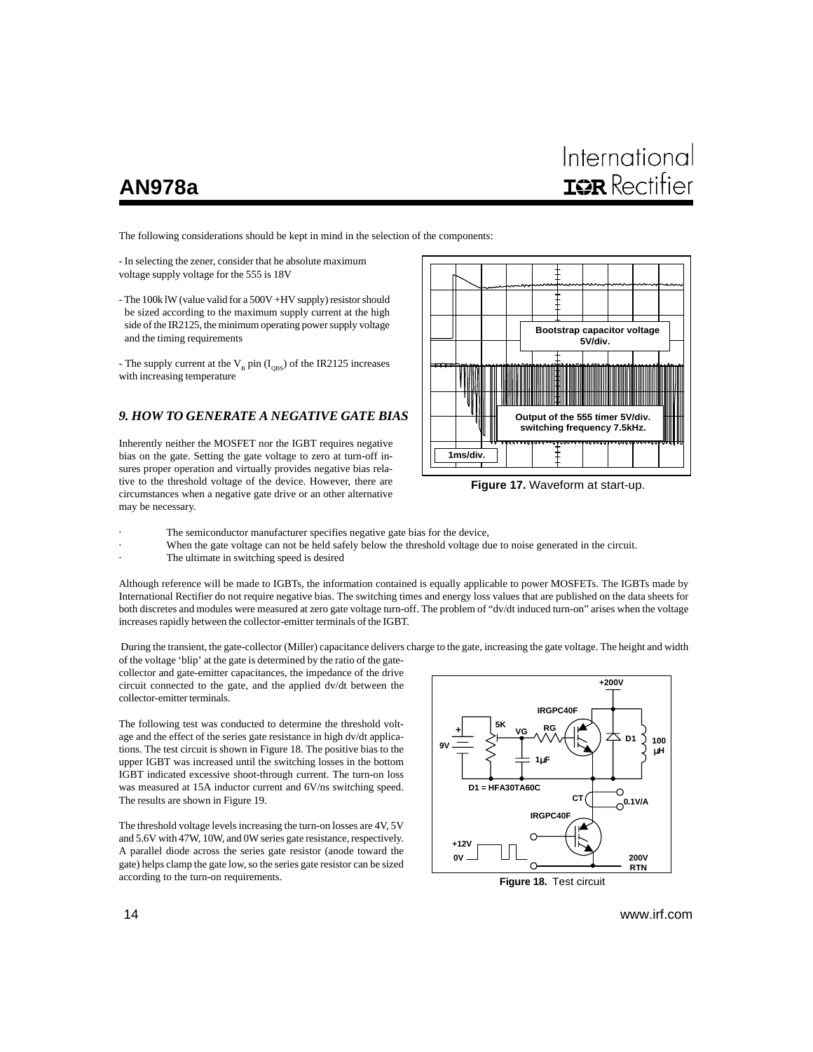# Internationa **IGR** Rectifier

The following considerations should be kept in mind in the selection of the components:

- In selecting the zener, consider that he absolute maximum voltage supply voltage for the 555 is 18V

- The 100k lW (value valid for a 500V +HV supply) resistor should be sized according to the maximum supply current at the high side of the IR2125, the minimum operating power supply voltage and the timing requirements

- The supply current at the  $V_B$  pin ( $I_{OBS}$ ) of the IR2125 increases with increasing temperature

## *9. HOW TO GENERATE A NEGATIVE GATE BIAS*

Inherently neither the MOSFET nor the IGBT requires negative bias on the gate. Setting the gate voltage to zero at turn-off insures proper operation and virtually provides negative bias relative to the threshold voltage of the device. However, there are circumstances when a negative gate drive or an other alternative may be necessary.



**Figure 17.** Waveform at start-up.

- The semiconductor manufacturer specifies negative gate bias for the device,
	- When the gate voltage can not be held safely below the threshold voltage due to noise generated in the circuit.
	- The ultimate in switching speed is desired

Although reference will be made to IGBTs, the information contained is equally applicable to power MOSFETs. The IGBTs made by International Rectifier do not require negative bias. The switching times and energy loss values that are published on the data sheets for both discretes and modules were measured at zero gate voltage turn-off. The problem of "dv/dt induced turn-on" arises when the voltage increases rapidly between the collector-emitter terminals of the IGBT.

 During the transient, the gate-collector (Miller) capacitance delivers charge to the gate, increasing the gate voltage. The height and width of the voltage 'blip' at the gate is determined by the ratio of the gate-

collector and gate-emitter capacitances, the impedance of the drive circuit connected to the gate, and the applied dv/dt between the collector-emitter terminals.

The following test was conducted to determine the threshold voltage and the effect of the series gate resistance in high dv/dt applications. The test circuit is shown in Figure 18. The positive bias to the upper IGBT was increased until the switching losses in the bottom IGBT indicated excessive shoot-through current. The turn-on loss was measured at 15A inductor current and 6V/ns switching speed. The results are shown in Figure 19.

The threshold voltage levels increasing the turn-on losses are 4V, 5V and 5.6V with 47W, 10W, and 0W series gate resistance, respectively. A parallel diode across the series gate resistor (anode toward the gate) helps clamp the gate low, so the series gate resistor can be sized according to the turn-on requirements.



**Figure 18.** Test circuit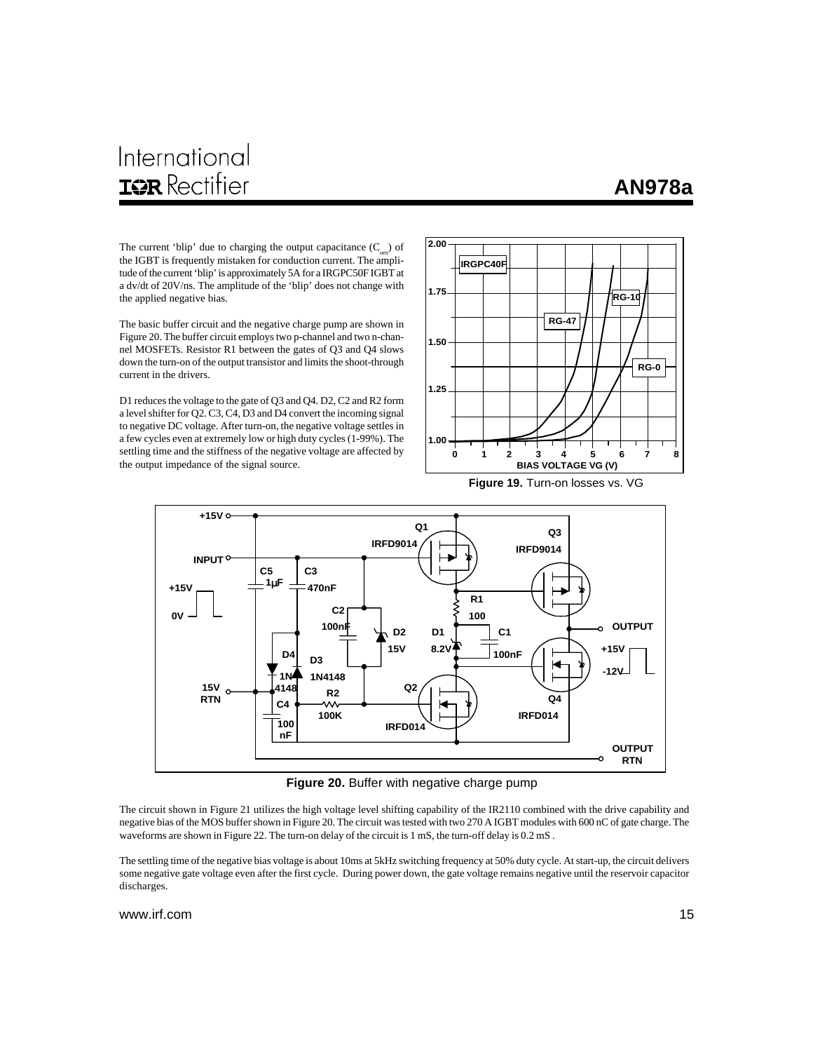# International **IOR** Rectifier

## **AN978a**

The current 'blip' due to charging the output capacitance  $(C_{\text{osc}})$  of the IGBT is frequently mistaken for conduction current. The amplitude of the current 'blip' is approximately 5A for a IRGPC50F IGBT at a dv/dt of 20V/ns. The amplitude of the 'blip' does not change with the applied negative bias.

The basic buffer circuit and the negative charge pump are shown in Figure 20. The buffer circuit employs two p-channel and two n-channel MOSFETs. Resistor R1 between the gates of Q3 and Q4 slows down the turn-on of the output transistor and limits the shoot-through current in the drivers.

D1 reduces the voltage to the gate of Q3 and Q4. D2, C2 and R2 form a level shifter for Q2. C3, C4, D3 and D4 convert the incoming signal to negative DC voltage. After turn-on, the negative voltage settles in a few cycles even at extremely low or high duty cycles (1-99%). The settling time and the stiffness of the negative voltage are affected by the output impedance of the signal source.



**Figure 19.** Turn-on losses vs. VG



**Figure 20.** Buffer with negative charge pump

The circuit shown in Figure 21 utilizes the high voltage level shifting capability of the IR2110 combined with the drive capability and negative bias of the MOS buffer shown in Figure 20. The circuit was tested with two 270 A IGBT modules with 600 nC of gate charge. The waveforms are shown in Figure 22. The turn-on delay of the circuit is 1 mS, the turn-off delay is 0.2 mS.

The settling time of the negative bias voltage is about 10ms at 5kHz switching frequency at 50% duty cycle. At start-up, the circuit delivers some negative gate voltage even after the first cycle. During power down, the gate voltage remains negative until the reservoir capacitor discharges.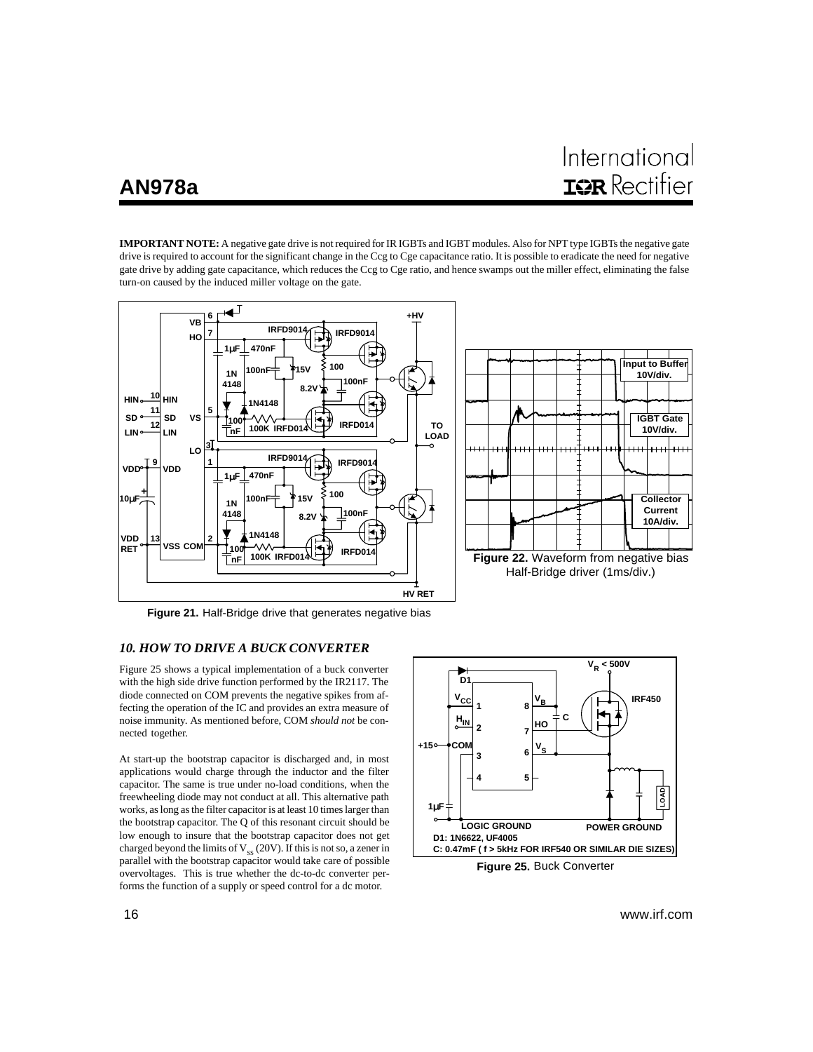# International **IGR** Rectifier

**IMPORTANT NOTE:** A negative gate drive is not required for IR IGBTs and IGBT modules. Also for NPT type IGBTs the negative gate drive is required to account for the significant change in the Ccg to Cge capacitance ratio. It is possible to eradicate the need for negative gate drive by adding gate capacitance, which reduces the Ccg to Cge ratio, and hence swamps out the miller effect, eliminating the false turn-on caused by the induced miller voltage on the gate.



**Figure 21.** Half-Bridge drive that generates negative bias

#### *10. HOW TO DRIVE A BUCK CONVERTER*

Figure 25 shows a typical implementation of a buck converter with the high side drive function performed by the IR2117. The diode connected on COM prevents the negative spikes from affecting the operation of the IC and provides an extra measure of noise immunity. As mentioned before, COM *should not* be connected together.

At start-up the bootstrap capacitor is discharged and, in most applications would charge through the inductor and the filter capacitor. The same is true under no-load conditions, when the freewheeling diode may not conduct at all. This alternative path works, as long as the filter capacitor is at least 10 times larger than the bootstrap capacitor. The Q of this resonant circuit should be low enough to insure that the bootstrap capacitor does not get charged beyond the limits of  $V_{ss}$  (20V). If this is not so, a zener in parallel with the bootstrap capacitor would take care of possible overvoltages. This is true whether the dc-to-dc converter performs the function of a supply or speed control for a dc motor.



**Figure 25.** Buck Converter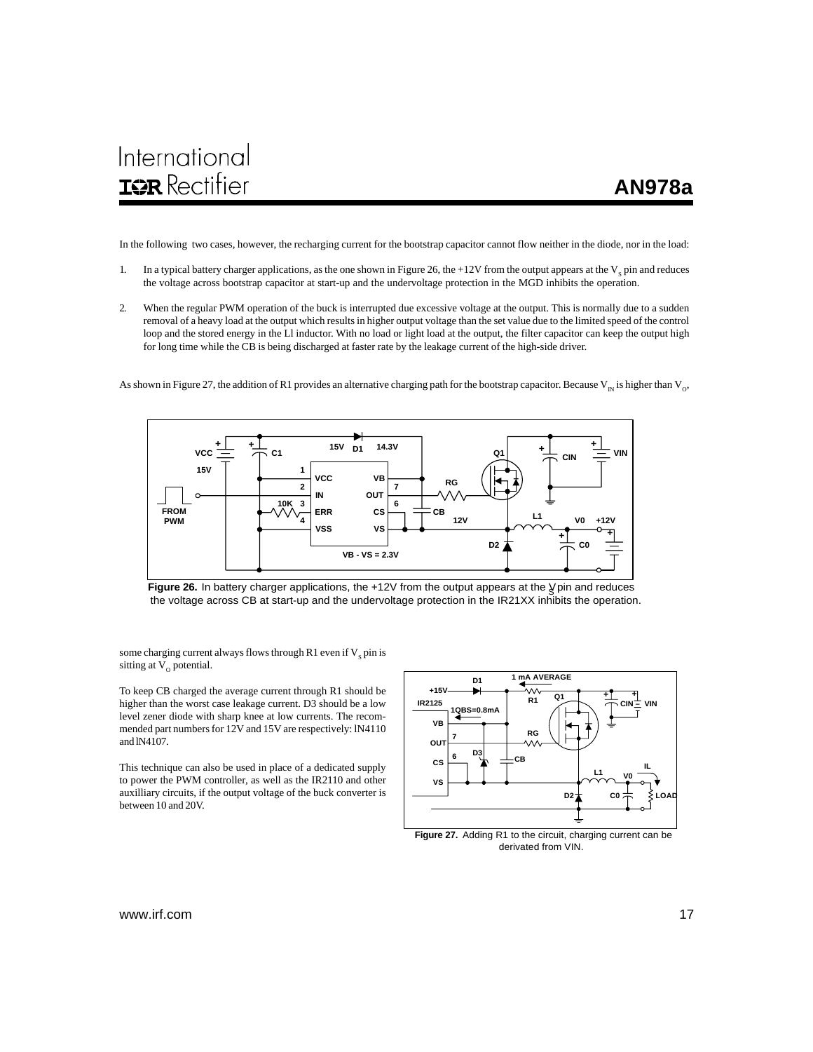In the following two cases, however, the recharging current for the bootstrap capacitor cannot flow neither in the diode, nor in the load:

- 1. In a typical battery charger applications, as the one shown in Figure 26, the  $+12V$  from the output appears at the  $V_s$  pin and reduces the voltage across bootstrap capacitor at start-up and the undervoltage protection in the MGD inhibits the operation.
- 2. When the regular PWM operation of the buck is interrupted due excessive voltage at the output. This is normally due to a sudden removal of a heavy load at the output which results in higher output voltage than the set value due to the limited speed of the control loop and the stored energy in the Ll inductor. With no load or light load at the output, the filter capacitor can keep the output high for long time while the CB is being discharged at faster rate by the leakage current of the high-side driver.

As shown in Figure 27, the addition of R1 provides an alternative charging path for the bootstrap capacitor. Because  $V_{\text{in}}$  is higher than  $V_{\text{in}}$ 



Figure 26. In battery charger applications, the +12V from the output appears at the *V* pin and reduces the voltage across CB at start-up and the undervoltage protection in the IR21XX inhibits the operation.

some charging current always flows through R1 even if  $\mathrm{V}_{\mathrm{S}}$  pin is sitting at  $V_0$  potential.

To keep CB charged the average current through R1 should be higher than the worst case leakage current. D3 should be a low level zener diode with sharp knee at low currents. The recommended part numbers for 12V and 15V are respectively: lN4110 and lN4107.

This technique can also be used in place of a dedicated supply to power the PWM controller, as well as the IR2110 and other auxilliary circuits, if the output voltage of the buck converter is between 10 and 20V.



derivated from VIN.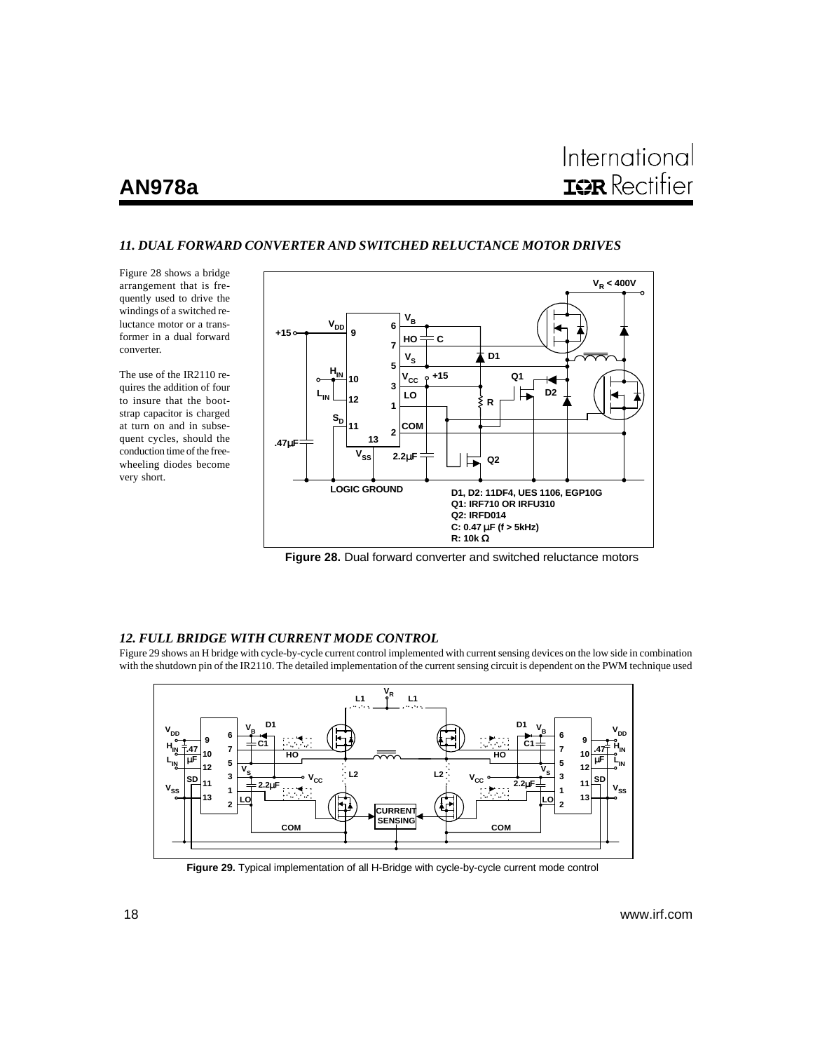# International **IQR** Rectifier

## *11. DUAL FORWARD CONVERTER AND SWITCHED RELUCTANCE MOTOR DRIVES*

Figure 28 shows a bridge arrangement that is frequently used to drive the windings of a switched reluctance motor or a transformer in a dual forward converter.

The use of the IR2110 requires the addition of four to insure that the bootstrap capacitor is charged at turn on and in subsequent cycles, should the conduction time of the freewheeling diodes become very short.



**Figure 28.** Dual forward converter and switched reluctance motors

### *12. FULL BRIDGE WITH CURRENT MODE CONTROL*

Figure 29 shows an H bridge with cycle-by-cycle current control implemented with current sensing devices on the low side in combination with the shutdown pin of the IR2110. The detailed implementation of the current sensing circuit is dependent on the PWM technique used



**Figure 29.** Typical implementation of all H-Bridge with cycle-by-cycle current mode control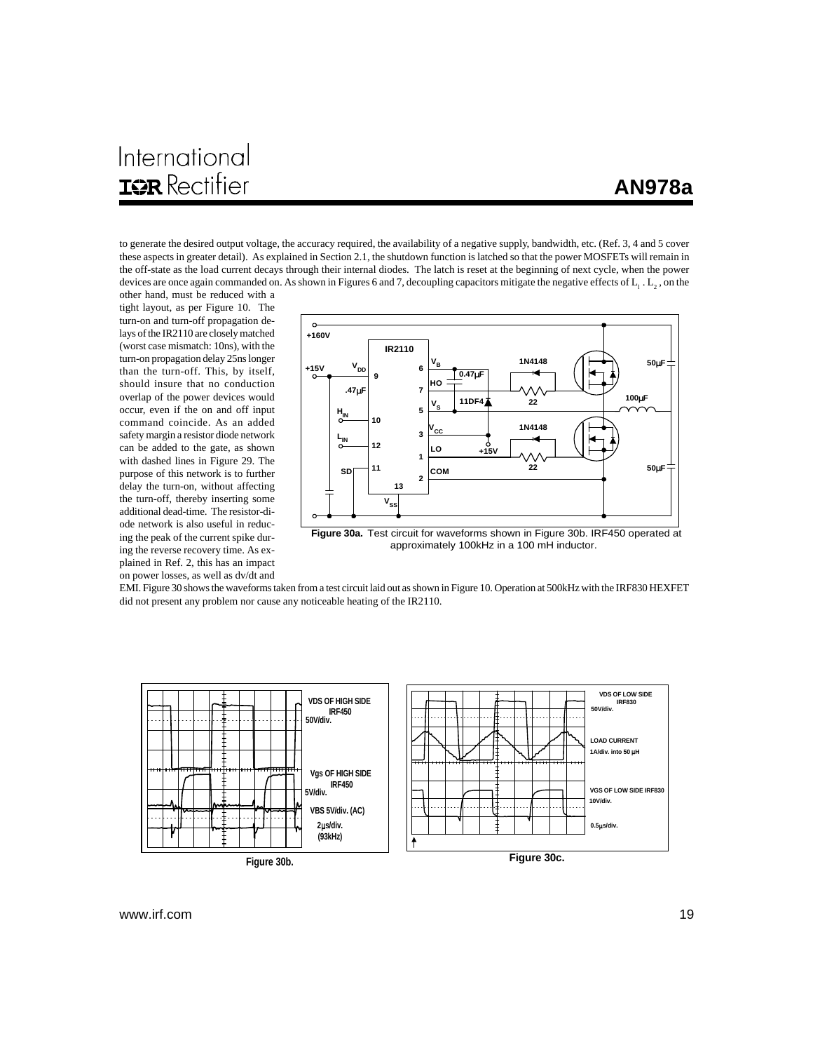# International **IOR** Rectifier

to generate the desired output voltage, the accuracy required, the availability of a negative supply, bandwidth, etc. (Ref. 3, 4 and 5 cover these aspects in greater detail). As explained in Section 2.1, the shutdown function is latched so that the power MOSFETs will remain in the off-state as the load current decays through their internal diodes. The latch is reset at the beginning of next cycle, when the power devices are once again commanded on. As shown in Figures 6 and 7, decoupling capacitors mitigate the negative effects of  $L_1$  .  $L_2$  , on the other hand, must be reduced with a

tight layout, as per Figure 10. The turn-on and turn-off propagation delays of the IR2110 are closely matched (worst case mismatch: 10ns), with the turn-on propagation delay 25ns longer than the turn-off. This, by itself, should insure that no conduction overlap of the power devices would occur, even if the on and off input command coincide. As an added safety margin a resistor diode network can be added to the gate, as shown with dashed lines in Figure 29. The purpose of this network is to further delay the turn-on, without affecting the turn-off, thereby inserting some additional dead-time. The resistor-diode network is also useful in reducing the peak of the current spike during the reverse recovery time. As explained in Ref. 2, this has an impact on power losses, as well as dv/dt and



**Figure 30a.** Test circuit for waveforms shown in Figure 30b. IRF450 operated at approximately 100kHz in a 100 mH inductor.

EMI. Figure 30 shows the waveforms taken from a test circuit laid out as shown in Figure 10. Operation at 500kHz with the IRF830 HEXFET did not present any problem nor cause any noticeable heating of the IR2110.

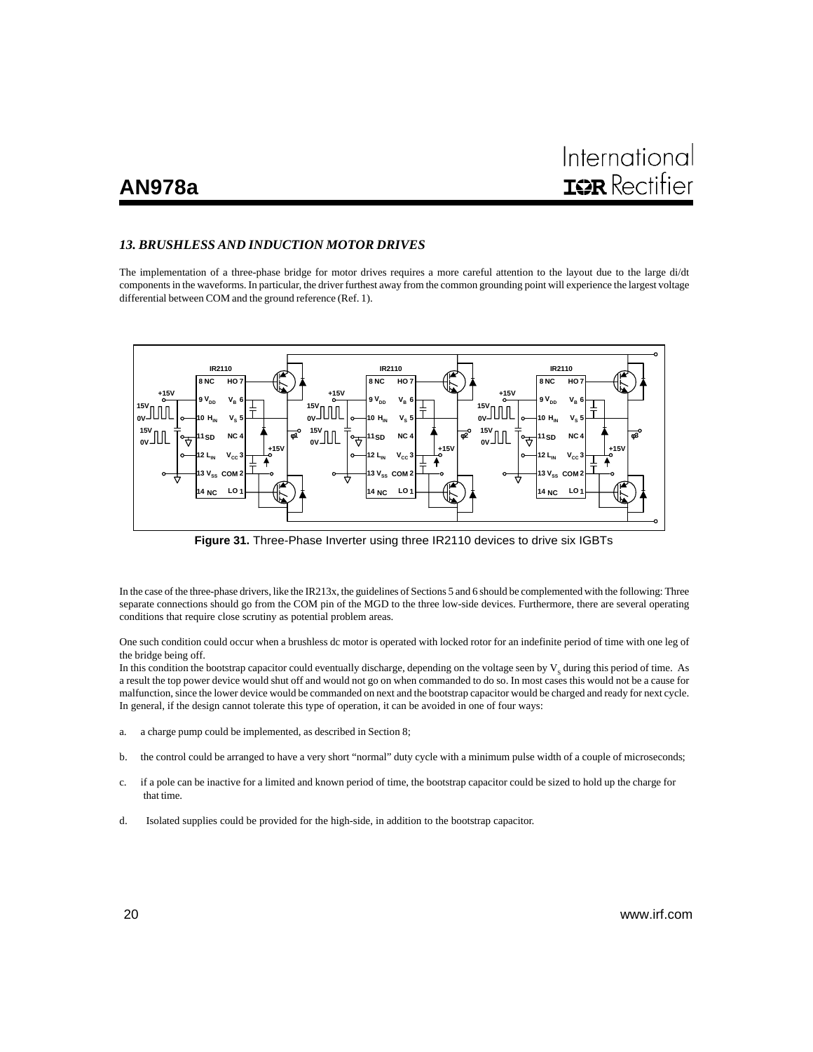## *13. BRUSHLESS AND INDUCTION MOTOR DRIVES*

The implementation of a three-phase bridge for motor drives requires a more careful attention to the layout due to the large di/dt components in the waveforms. In particular, the driver furthest away from the common grounding point will experience the largest voltage differential between COM and the ground reference (Ref. 1).



**Figure 31.** Three-Phase Inverter using three IR2110 devices to drive six IGBTs

In the case of the three-phase drivers, like the IR213x, the guidelines of Sections 5 and 6 should be complemented with the following: Three separate connections should go from the COM pin of the MGD to the three low-side devices. Furthermore, there are several operating conditions that require close scrutiny as potential problem areas.

One such condition could occur when a brushless dc motor is operated with locked rotor for an indefinite period of time with one leg of the bridge being off.

In this condition the bootstrap capacitor could eventually discharge, depending on the voltage seen by  $V_s$  during this period of time. As a result the top power device would shut off and would not go on when commanded to do so. In most cases this would not be a cause for malfunction, since the lower device would be commanded on next and the bootstrap capacitor would be charged and ready for next cycle. In general, if the design cannot tolerate this type of operation, it can be avoided in one of four ways:

- a. a charge pump could be implemented, as described in Section 8;
- b. the control could be arranged to have a very short "normal" duty cycle with a minimum pulse width of a couple of microseconds;
- c. if a pole can be inactive for a limited and known period of time, the bootstrap capacitor could be sized to hold up the charge for that time.
- d. Isolated supplies could be provided for the high-side, in addition to the bootstrap capacitor.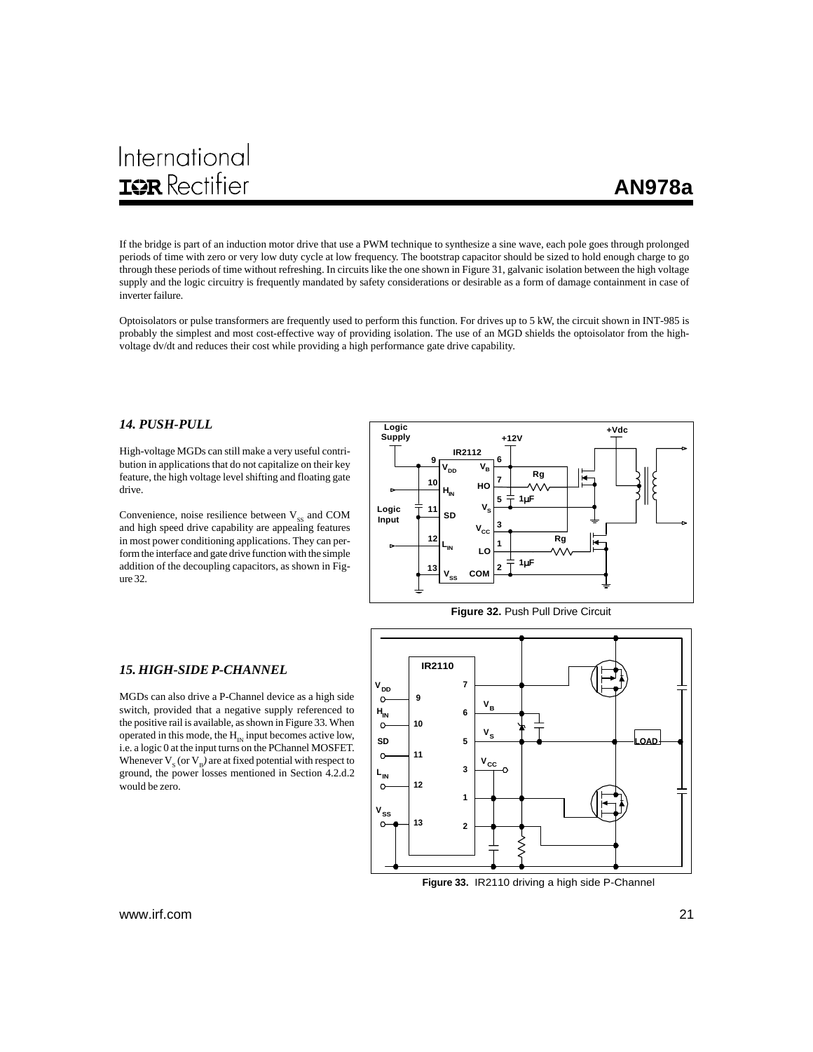# International **IOR** Rectifier

If the bridge is part of an induction motor drive that use a PWM technique to synthesize a sine wave, each pole goes through prolonged periods of time with zero or very low duty cycle at low frequency. The bootstrap capacitor should be sized to hold enough charge to go through these periods of time without refreshing. In circuits like the one shown in Figure 31, galvanic isolation between the high voltage supply and the logic circuitry is frequently mandated by safety considerations or desirable as a form of damage containment in case of inverter failure.

Optoisolators or pulse transformers are frequently used to perform this function. For drives up to 5 kW, the circuit shown in INT-985 is probably the simplest and most cost-effective way of providing isolation. The use of an MGD shields the optoisolator from the highvoltage dv/dt and reduces their cost while providing a high performance gate drive capability.

## *14. PUSH-PULL*

High-voltage MGDs can still make a very useful contribution in applications that do not capitalize on their key feature, the high voltage level shifting and floating gate drive.

Convenience, noise resilience between  $V_{\rm ss}$  and COM and high speed drive capability are appealing features in most power conditioning applications. They can perform the interface and gate drive function with the simple addition of the decoupling capacitors, as shown in Figure 32.





#### *15. HIGH-SIDE P-CHANNEL*

MGDs can also drive a P-Channel device as a high side switch, provided that a negative supply referenced to the positive rail is available, as shown in Figure 33. When operated in this mode, the  $H_{1N}$  input becomes active low, i.e. a logic 0 at the input turns on the PChannel MOSFET. Whenever  $V_s$  (or  $V_B$ ) are at fixed potential with respect to ground, the power losses mentioned in Section 4.2.d.2 would be zero.



**Figure 33.** IR2110 driving a high side P-Channel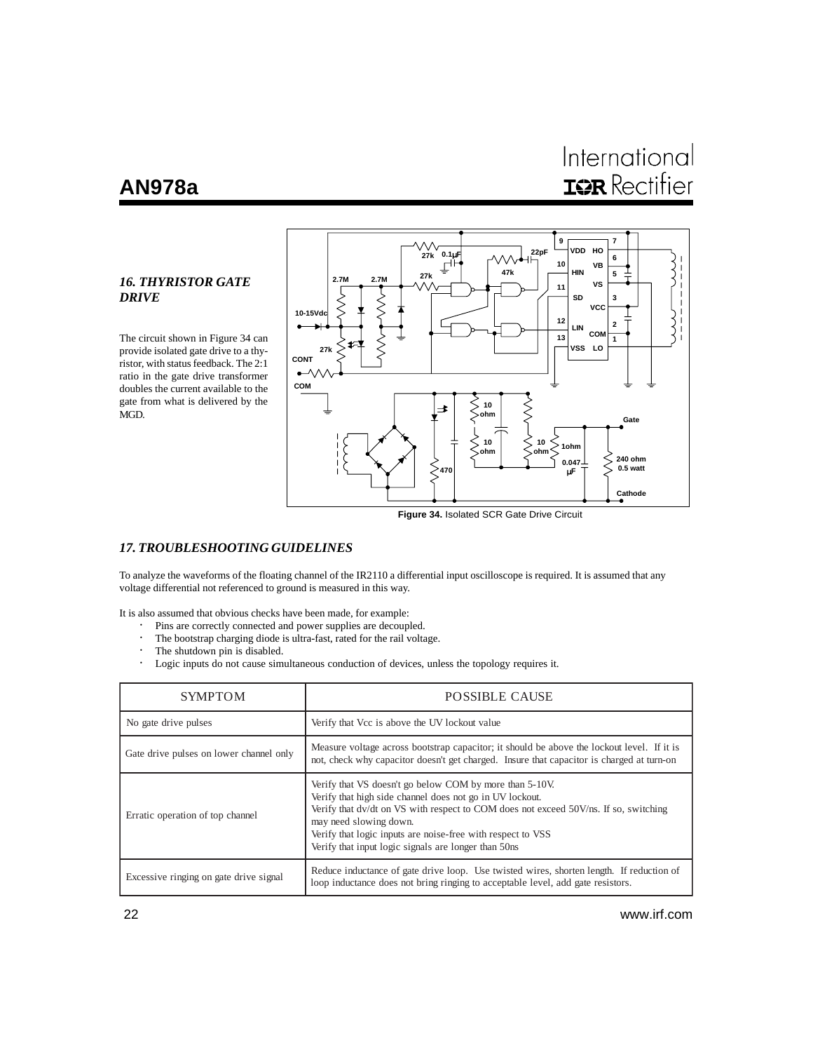# International **IGR** Rectifier

## *16. THYRISTOR GATE DRIVE*

The circuit shown in Figure 34 can provide isolated gate drive to a thyristor, with status feedback. The 2:1 ratio in the gate drive transformer doubles the current available to the gate from what is delivered by the MGD.



**Figure 34.** Isolated SCR Gate Drive Circuit

## *17. TROUBLESHOOTING GUIDELINES*

To analyze the waveforms of the floating channel of the IR2110 a differential input oscilloscope is required. It is assumed that any voltage differential not referenced to ground is measured in this way.

It is also assumed that obvious checks have been made, for example:

- · Pins are correctly connected and power supplies are decoupled.
- The bootstrap charging diode is ultra-fast, rated for the rail voltage.
- · The shutdown pin is disabled.
- · Logic inputs do not cause simultaneous conduction of devices, unless the topology requires it.

| <b>SYMPTOM</b>                          | <b>POSSIBLE CAUSE</b>                                                                                                                                                                                                                                                                                                                                        |  |  |
|-----------------------------------------|--------------------------------------------------------------------------------------------------------------------------------------------------------------------------------------------------------------------------------------------------------------------------------------------------------------------------------------------------------------|--|--|
| No gate drive pulses                    | Verify that Vcc is above the UV lockout value                                                                                                                                                                                                                                                                                                                |  |  |
| Gate drive pulses on lower channel only | Measure voltage across bootstrap capacitor; it should be above the lockout level. If it is<br>not, check why capacitor doesn't get charged. Insure that capacitor is charged at turn-on                                                                                                                                                                      |  |  |
| Erratic operation of top channel        | Verify that VS doesn't go below COM by more than 5-10V.<br>Verify that high side channel does not go in UV lockout.<br>Verify that dv/dt on VS with respect to COM does not exceed 50V/ns. If so, switching<br>may need slowing down.<br>Verify that logic inputs are noise-free with respect to VSS<br>Verify that input logic signals are longer than 50ns |  |  |
| Excessive ringing on gate drive signal  | Reduce inductance of gate drive loop. Use twisted wires, shorten length. If reduction of<br>loop inductance does not bring ringing to acceptable level, add gate resistors.                                                                                                                                                                                  |  |  |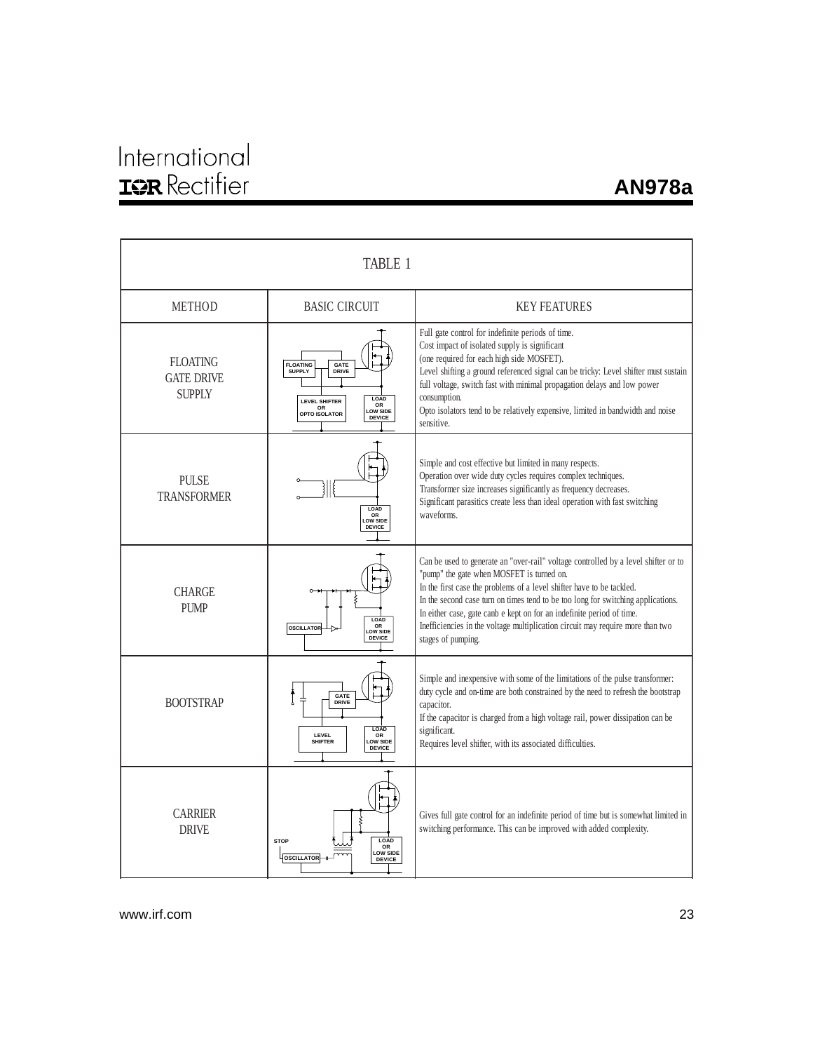# International<br>**IGR** Rectifier

## **AN978a**

| <b>TABLE 1</b>                                        |                                                                                                                                                    |                                                                                                                                                                                                                                                                                                                                                                                                                                                                               |  |  |  |
|-------------------------------------------------------|----------------------------------------------------------------------------------------------------------------------------------------------------|-------------------------------------------------------------------------------------------------------------------------------------------------------------------------------------------------------------------------------------------------------------------------------------------------------------------------------------------------------------------------------------------------------------------------------------------------------------------------------|--|--|--|
| <b>METHOD</b>                                         | <b>BASIC CIRCUIT</b>                                                                                                                               | <b>KEY FEATURES</b>                                                                                                                                                                                                                                                                                                                                                                                                                                                           |  |  |  |
| <b>FLOATING</b><br><b>GATE DRIVE</b><br><b>SUPPLY</b> | <b>FLOATING</b><br><b>GATE</b><br><b>SUPPLY</b><br>DRIVE<br>LOAD<br><b>LEVEL SHIFTER</b><br>OR<br>OR<br>LOW SIDE<br>OPTO ISOLATOR<br><b>DEVICE</b> | Full gate control for indefinite periods of time.<br>Cost impact of isolated supply is significant<br>(one required for each high side MOSFET).<br>Level shifting a ground referenced signal can be tricky: Level shifter must sustain<br>full voltage, switch fast with minimal propagation delays and low power<br>consumption.<br>Opto isolators tend to be relatively expensive, limited in bandwidth and noise<br>sensitive.                                             |  |  |  |
| <b>PULSE</b><br><b>TRANSFORMER</b>                    | }∥{<br>LOAD<br>OR<br>LOW SIDE<br><b>DEVICE</b>                                                                                                     | Simple and cost effective but limited in many respects.<br>Operation over wide duty cycles requires complex techniques.<br>Transformer size increases significantly as frequency decreases.<br>Significant parasitics create less than ideal operation with fast switching<br>waveforms.                                                                                                                                                                                      |  |  |  |
| <b>CHARGE</b><br>PI IMP                               | LOAD<br>OR<br><b>OSCILLATOR</b><br>LOW SIDE<br><b>DEVICE</b>                                                                                       | Can be used to generate an "over-rail" voltage controlled by a level shifter or to<br>"pump" the gate when MOSFET is turned on.<br>In the first case the problems of a level shifter have to be tackled.<br>In the second case turn on times tend to be too long for switching applications.<br>In either case, gate canb e kept on for an indefinite period of time.<br>Inefficiencies in the voltage multiplication circuit may require more than two<br>stages of pumping. |  |  |  |
| <b>BOOTSTRAP</b>                                      | GATE<br>DRIVE<br>LOAD<br>LEVEL<br>OR<br>LOW SIDE<br><b>SHIFTER</b><br><b>DEVICE</b>                                                                | Simple and inexpensive with some of the limitations of the pulse transformer:<br>duty cycle and on-time are both constrained by the need to refresh the bootstrap<br>capacitor.<br>If the capacitor is charged from a high voltage rail, power dissipation can be<br>significant.<br>Requires level shifter, with its associated difficulties.                                                                                                                                |  |  |  |
| <b>CARRIER</b><br><b>DRIVE</b>                        | LOAD<br><b>STOP</b><br>OR<br><b>LOW SIDE</b><br><b>OSCILLATOR</b><br><b>DEVICE</b>                                                                 | Gives full gate control for an indefinite period of time but is somewhat limited in<br>switching performance. This can be improved with added complexity.                                                                                                                                                                                                                                                                                                                     |  |  |  |